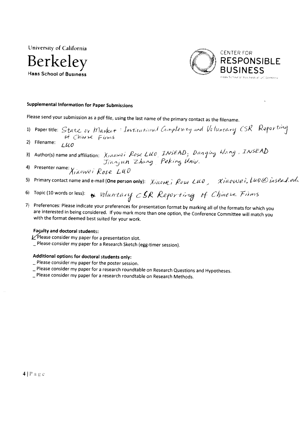University of California





# **Supplemental Information for Paper Submissions**

Please send your submission as a pdf file, using the last name of the primary contact as the filename.

- 1) Papertitle: State or Market: Institutional Complexity and Voluntary CSR Reporting of Chinese Firms
- 2) Filename:  $1 \mu$ o
- Author(s) name and affiliation: Xinowei Rose LUO, INSEAD, Danging Wang, INSEAD  $3)$ Jianjun Zhang Peking Univ.
- Presenter name: Xiaowei Rose LUO  $\Delta$
- Primary contact name and e-mail (One person only): Xidowe, Rose LUD, Xidowei, LUD@ insead.edu 5)
- Topic (10 words or less):  $\bullet$  Voluntary CSR Reporting of Chinese Firms  $6)$
- 7) Preferences: Please indicate your preferences for presentation format by marking all of the formats for which you are interested in being considered. If you mark more than one option, the Conference Committee will match you with the format deemed best suited for your work.

### **Faculty and doctoral students:**

- $\angle$ Please consider my paper for a presentation slot.
- \_ Please consider my paper for a Research Sketch (egg-timer session).

# Additional options for doctoral students only:

- Please consider my paper for the poster session.
- Please consider my paper for a research roundtable on Research Questions and Hypotheses.
- \_ Please consider my paper for a research roundtable on Research Methods.

 $4|Page$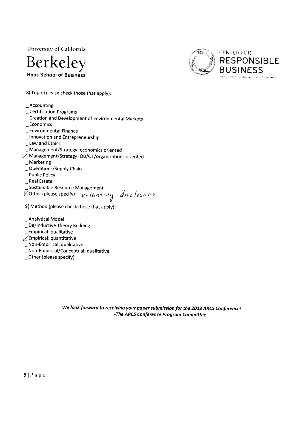University of California





8) Topic (please check those that apply):

## Accounting

- Certification Programs
- \_ Creation and Development of Environmental Markets
- \_ Economics
- \_ Environmental Finance
- \_ Innovation and Entrepreneurship
- \_ Law and Ethics
- Management/Strategy: economics oriented
- V\_Management/Strategy: OB/OT/organizations oriented
- $\_$  Marketing
- \_ Operations/Supply Chain
- \_ Public Policy
- \_ Real Estate
- Sustainable Resource Management

 $\overline{V}$ Other (please specify)  $\overline{V}$  luntary disclosure

- 9) Method (please check those that apply):
- \_ Analytical Model
- \_ De/Inductive Theory Building
- \_ Empirical: qualitative
- Lempirical: quantitative
- Non-Empirical: qualitative
- \_Non-Empirical/Conceptual: qualitative
- \_Other (please specify)

We look forward to receiving your paper submission for the 2013 ARCS Conference! -The ARCS Conference Program Committee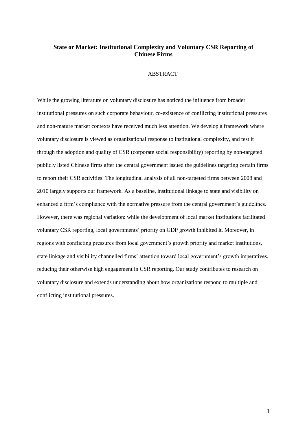# **State or Market: Institutional Complexity and Voluntary CSR Reporting of Chinese Firms**

## ABSTRACT

While the growing literature on voluntary disclosure has noticed the influence from broader institutional pressures on such corporate behaviour, co-existence of conflicting institutional pressures and non-mature market contexts have received much less attention. We develop a framework where voluntary disclosure is viewed as organizational response to institutional complexity, and test it through the adoption and quality of CSR (corporate social responsibility) reporting by non-targeted publicly listed Chinese firms after the central government issued the guidelines targeting certain firms to report their CSR activities. The longitudinal analysis of all non-targeted firms between 2008 and 2010 largely supports our framework. As a baseline, institutional linkage to state and visibility on enhanced a firm"s compliance with the normative pressure from the central government"s guidelines. However, there was regional variation: while the development of local market institutions facilitated voluntary CSR reporting, local governments" priority on GDP growth inhibited it. Moreover, in regions with conflicting pressures from local government"s growth priority and market institutions, state linkage and visibility channelled firms' attention toward local government's growth imperatives, reducing their otherwise high engagement in CSR reporting. Our study contributes to research on voluntary disclosure and extends understanding about how organizations respond to multiple and conflicting institutional pressures.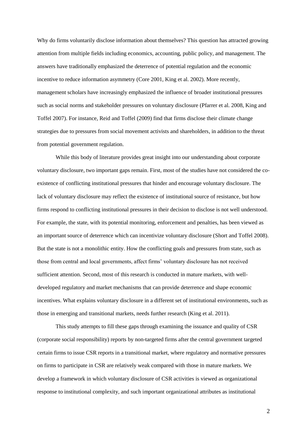Why do firms voluntarily disclose information about themselves? This question has attracted growing attention from multiple fields including economics, accounting, public policy, and management. The answers have traditionally emphasized the deterrence of potential regulation and the economic incentive to reduce information asymmetry (Core 2001, King et al. 2002). More recently, management scholars have increasingly emphasized the influence of broader institutional pressures such as social norms and stakeholder pressures on voluntary disclosure (Pfarrer et al. 2008, King and Toffel 2007). For instance, Reid and Toffel (2009) find that firms disclose their climate change strategies due to pressures from social movement activists and shareholders, in addition to the threat from potential government regulation.

While this body of literature provides great insight into our understanding about corporate voluntary disclosure, two important gaps remain. First, most of the studies have not considered the coexistence of conflicting institutional pressures that hinder and encourage voluntary disclosure. The lack of voluntary disclosure may reflect the existence of institutional source of resistance, but how firms respond to conflicting institutional pressures in their decision to disclose is not well understood. For example, the state, with its potential monitoring, enforcement and penalties, has been viewed as an important source of deterrence which can incentivize voluntary disclosure (Short and Toffel 2008). But the state is not a monolithic entity. How the conflicting goals and pressures from state, such as those from central and local governments, affect firms' voluntary disclosure has not received sufficient attention. Second, most of this research is conducted in mature markets, with welldeveloped regulatory and market mechanisms that can provide deterrence and shape economic incentives. What explains voluntary disclosure in a different set of institutional environments, such as those in emerging and transitional markets, needs further research (King et al. 2011).

This study attempts to fill these gaps through examining the issuance and quality of CSR (corporate social responsibility) reports by non-targeted firms after the central government targeted certain firms to issue CSR reports in a transitional market, where regulatory and normative pressures on firms to participate in CSR are relatively weak compared with those in mature markets. We develop a framework in which voluntary disclosure of CSR activities is viewed as organizational response to institutional complexity, and such important organizational attributes as institutional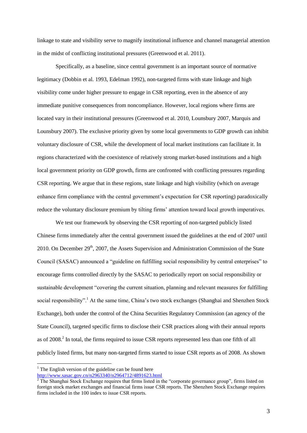linkage to state and visibility serve to magnify institutional influence and channel managerial attention in the midst of conflicting institutional pressures (Greenwood et al. 2011).

Specifically, as a baseline, since central government is an important source of normative legitimacy (Dobbin et al. 1993, Edelman 1992), non-targeted firms with state linkage and high visibility come under higher pressure to engage in CSR reporting, even in the absence of any immediate punitive consequences from noncompliance. However, local regions where firms are located vary in their institutional pressures (Greenwood et al. 2010, Lounsbury 2007, Marquis and Lounsbury 2007). The exclusive priority given by some local governments to GDP growth can inhibit voluntary disclosure of CSR, while the development of local market institutions can facilitate it. In regions characterized with the coexistence of relatively strong market-based institutions and a high local government priority on GDP growth, firms are confronted with conflicting pressures regarding CSR reporting. We argue that in these regions, state linkage and high visibility (which on average enhance firm compliance with the central government"s expectation for CSR reporting) paradoxically reduce the voluntary disclosure premium by tilting firms' attention toward local growth imperatives.

We test our framework by observing the CSR reporting of non-targeted publicly listed Chinese firms immediately after the central government issued the guidelines at the end of 2007 until 2010. On December  $29<sup>th</sup>$ , 2007, the Assets Supervision and Administration Commission of the State Council (SASAC) announced a "guideline on fulfilling social responsibility by central enterprises" to encourage firms controlled directly by the SASAC to periodically report on social responsibility or sustainable development "covering the current situation, planning and relevant measures for fulfilling social responsibility".<sup>1</sup> At the same time, China's two stock exchanges (Shanghai and Shenzhen Stock Exchange), both under the control of the China Securities Regulatory Commission (an agency of the State Council), targeted specific firms to disclose their CSR practices along with their annual reports as of 2008.<sup>2</sup> In total, the firms required to issue CSR reports represented less than one fifth of all publicly listed firms, but many non-targeted firms started to issue CSR reports as of 2008. As shown

<u>.</u>

 $1$  The English version of the guideline can be found here <http://www.sasac.gov.cn/n2963340/n2964712/4891623.html>

 $2$  The Shanghai Stock Exchange requires that firms listed in the "corporate governance group", firms listed on foreign stock market exchanges and financial firms issue CSR reports. The Shenzhen Stock Exchange requires firms included in the 100 index to issue CSR reports.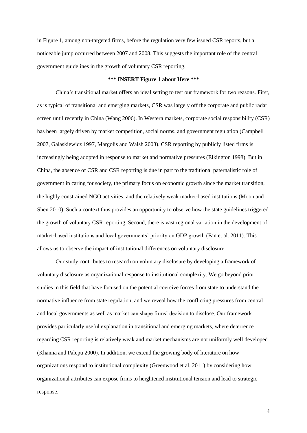in Figure 1, among non-targeted firms, before the regulation very few issued CSR reports, but a noticeable jump occurred between 2007 and 2008. This suggests the important role of the central government guidelines in the growth of voluntary CSR reporting.

### **\*\*\* INSERT Figure 1 about Here \*\*\***

China"s transitional market offers an ideal setting to test our framework for two reasons. First, as is typical of transitional and emerging markets, CSR was largely off the corporate and public radar screen until recently in China (Wang 2006). In Western markets, corporate social responsibility (CSR) has been largely driven by market competition, social norms, and government regulation (Campbell 2007, Galaskiewicz 1997, Margolis and Walsh 2003). CSR reporting by publicly listed firms is increasingly being adopted in response to market and normative pressures (Elkington 1998). But in China, the absence of CSR and CSR reporting is due in part to the traditional paternalistic role of government in caring for society, the primary focus on economic growth since the market transition, the highly constrained NGO activities, and the relatively weak market-based institutions (Moon and Shen 2010). Such a context thus provides an opportunity to observe how the state guidelines triggered the growth of voluntary CSR reporting. Second, there is vast regional variation in the development of market-based institutions and local governments" priority on GDP growth (Fan et al. 2011). This allows us to observe the impact of institutional differences on voluntary disclosure.

Our study contributes to research on voluntary disclosure by developing a framework of voluntary disclosure as organizational response to institutional complexity. We go beyond prior studies in this field that have focused on the potential coercive forces from state to understand the normative influence from state regulation, and we reveal how the conflicting pressures from central and local governments as well as market can shape firms" decision to disclose. Our framework provides particularly useful explanation in transitional and emerging markets, where deterrence regarding CSR reporting is relatively weak and market mechanisms are not uniformly well developed (Khanna and Palepu 2000). In addition, we extend the growing body of literature on how organizations respond to institutional complexity (Greenwood et al. 2011) by considering how organizational attributes can expose firms to heightened institutional tension and lead to strategic response.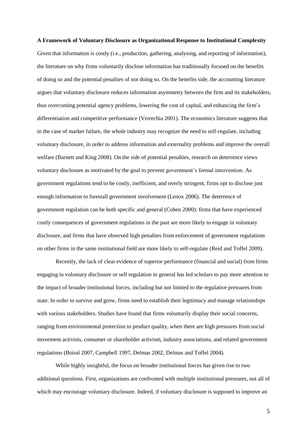# **A Framework of Voluntary Disclosure as Organizational Response to Institutional Complexity** Given that information is costly (i.e., production, gathering, analysing, and reporting of information), the literature on why firms voluntarily disclose information has traditionally focused on the benefits of doing so and the potential penalties of not doing so. On the benefits side, the accounting literature argues that voluntary disclosure reduces information asymmetry between the firm and its stakeholders, thus overcoming potential agency problems, lowering the cost of capital, and enhancing the firm"s differentiation and competitive performance (Verrechia 2001). The economics literature suggests that in the case of market failure, the whole industry may recognize the need to self-regulate, including voluntary disclosure, in order to address information and externality problems and improve the overall welfare (Barnett and King 2008). On the side of potential penalties, research on deterrence views voluntary disclosure as motivated by the goal to prevent government"s formal intervention. As government regulations tend to be costly, inefficient, and overly stringent, firms opt to disclose just enough information to forestall government involvement (Lenox 2006). The deterrence of government regulation can be both specific and general (Cohen 2000): firms that have experienced costly consequences of government regulations in the past are more likely to engage in voluntary disclosure, and firms that have observed high penalties from enforcement of government regulations on other firms in the same institutional field are more likely to self-regulate (Reid and Toffel 2009).

Recently, the lack of clear evidence of superior performance (financial and social) from firms engaging in voluntary disclosure or self regulation in general has led scholars to pay more attention to the impact of broader institutional forces, including but not limited to the regulative pressures from state. In order to survive and grow, firms need to establish their legitimacy and manage relationships with various stakeholders. Studies have found that firms voluntarily display their social concerns, ranging from environmental protection to product quality, when there are high pressures from social movement activists, consumer or shareholder activism, industry associations, and related government regulations (Boiral 2007, Campbell 1997, Delmas 2002, Delmas and Toffel 2004).

While highly insightful, the focus on broader institutional forces has given rise to two additional questions. First, organizations are confronted with multiple institutional pressures, not all of which may encourage voluntary disclosure. Indeed, if voluntary disclosure is supposed to improve an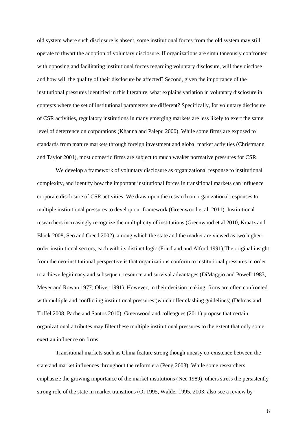old system where such disclosure is absent, some institutional forces from the old system may still operate to thwart the adoption of voluntary disclosure. If organizations are simultaneously confronted with opposing and facilitating institutional forces regarding voluntary disclosure, will they disclose and how will the quality of their disclosure be affected? Second, given the importance of the institutional pressures identified in this literature, what explains variation in voluntary disclosure in contexts where the set of institutional parameters are different? Specifically, for voluntary disclosure of CSR activities, regulatory institutions in many emerging markets are less likely to exert the same level of deterrence on corporations (Khanna and Palepu 2000). While some firms are exposed to standards from mature markets through foreign investment and global market activities (Christmann and Taylor 2001), most domestic firms are subject to much weaker normative pressures for CSR.

We develop a framework of voluntary disclosure as organizational response to institutional complexity, and identify how the important institutional forces in transitional markets can influence corporate disclosure of CSR activities. We draw upon the research on organizational responses to multiple institutional pressures to develop our framework (Greenwood et al. 2011). Institutional researchers increasingly recognize the multiplicity of institutions (Greenwood et al 2010, Kraatz and Block 2008, Seo and Creed 2002), among which the state and the market are viewed as two higherorder institutional sectors, each with its distinct logic (Friedland and Alford 1991).The original insight from the neo-institutional perspective is that organizations conform to institutional pressures in order to achieve legitimacy and subsequent resource and survival advantages (DiMaggio and Powell 1983, Meyer and Rowan 1977; Oliver 1991). However, in their decision making, firms are often confronted with multiple and conflicting institutional pressures (which offer clashing guidelines) (Delmas and Toffel 2008, Pache and Santos 2010). Greenwood and colleagues (2011) propose that certain organizational attributes may filter these multiple institutional pressures to the extent that only some exert an influence on firms.

Transitional markets such as China feature strong though uneasy co-existence between the state and market influences throughout the reform era (Peng 2003). While some researchers emphasize the growing importance of the market institutions (Nee 1989), others stress the persistently strong role of the state in market transitions (Oi 1995, Walder 1995, 2003; also see a review by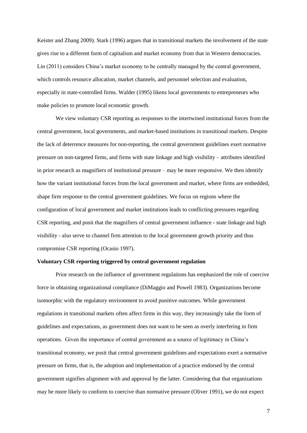Keister and Zhang 2009). Stark (1996) argues that in transitional markets the involvement of the state gives rise to a different form of capitalism and market economy from that in Western democracies. Lin (2011) considers China"s market economy to be centrally managed by the central government, which controls resource allocation, market channels, and personnel selection and evaluation, especially in state-controlled firms. Walder (1995) likens local governments to entrepreneurs who make policies to promote local economic growth.

We view voluntary CSR reporting as responses to the intertwined institutional forces from the central government, local governments, and market-based institutions in transitional markets. Despite the lack of deterrence measures for non-reporting, the central government guidelines exert normative pressure on non-targeted firms, and firms with state linkage and high visibility – attributes identified in prior research as magnifiers of institutional pressure – may be more responsive. We then identify how the variant institutional forces from the local government and market, where firms are embedded, shape firm response to the central government guidelines. We focus on regions where the configuration of local government and market institutions leads to conflicting pressures regarding CSR reporting, and posit that the magnifiers of central government influence - state linkage and high visibility - also serve to channel firm attention to the local government growth priority and thus compromise CSR reporting (Ocasio 1997).

## **Voluntary CSR reporting triggered by central government regulation**

Prior research on the influence of government regulations has emphasized the role of coercive force in obtaining organizational compliance (DiMaggio and Powell 1983). Organizations become isomorphic with the regulatory environment to avoid punitive outcomes. While government regulations in transitional markets often affect firms in this way, they increasingly take the form of guidelines and expectations, as government does not want to be seen as overly interfering in firm operations. Given the importance of central government as a source of legitimacy in China"s transitional economy, we posit that central government guidelines and expectations exert a normative pressure on firms, that is, the adoption and implementation of a practice endorsed by the central government signifies alignment with and approval by the latter. Considering that that organizations may be more likely to conform to coercive than normative pressure (Oliver 1991), we do not expect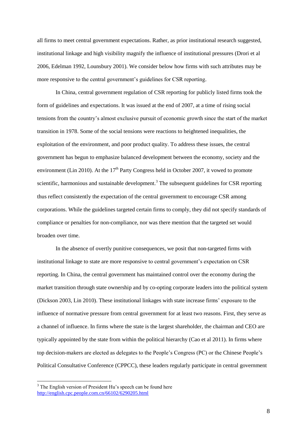all firms to meet central government expectations. Rather, as prior institutional research suggested, institutional linkage and high visibility magnify the influence of institutional pressures (Drori et al 2006, Edelman 1992, Lounsbury 2001). We consider below how firms with such attributes may be more responsive to the central government's guidelines for CSR reporting.

In China, central government regulation of CSR reporting for publicly listed firms took the form of guidelines and expectations. It was issued at the end of 2007, at a time of rising social tensions from the country"s almost exclusive pursuit of economic growth since the start of the market transition in 1978. Some of the social tensions were reactions to heightened inequalities, the exploitation of the environment, and poor product quality. To address these issues, the central government has begun to emphasize balanced development between the economy, society and the environment (Lin 2010). At the  $17<sup>th</sup>$  Party Congress held in October 2007, it vowed to promote scientific, harmonious and sustainable development.<sup>3</sup> The subsequent guidelines for CSR reporting thus reflect consistently the expectation of the central government to encourage CSR among corporations. While the guidelines targeted certain firms to comply, they did not specify standards of compliance or penalties for non-compliance, nor was there mention that the targeted set would broaden over time.

In the absence of overtly punitive consequences, we posit that non-targeted firms with institutional linkage to state are more responsive to central government's expectation on CSR reporting. In China, the central government has maintained control over the economy during the market transition through state ownership and by co-opting corporate leaders into the political system (Dickson 2003, Lin 2010). These institutional linkages with state increase firms" exposure to the influence of normative pressure from central government for at least two reasons. First, they serve as a channel of influence. In firms where the state is the largest shareholder, the chairman and CEO are typically appointed by the state from within the political hierarchy (Cao et al 2011). In firms where top decision-makers are elected as delegates to the People"s Congress (PC) or the Chinese People"s Political Consultative Conference (CPPCC), these leaders regularly participate in central government

<u>.</u>

 $3$  The English version of President Hu's speech can be found here <http://english.cpc.people.com.cn/66102/6290205.html>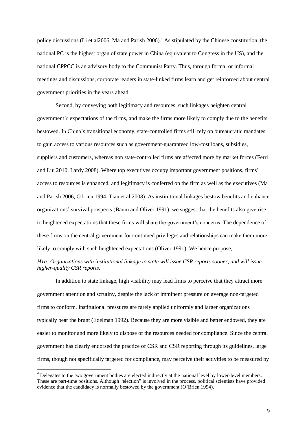policy discussions (Li et al2006, Ma and Parish 2006).<sup>4</sup> As stipulated by the Chinese constitution, the national PC is the highest organ of state power in China (equivalent to Congress in the US), and the national CPPCC is an advisory body to the Communist Party. Thus, through formal or informal meetings and discussions, corporate leaders in state-linked firms learn and get reinforced about central government priorities in the years ahead.

Second, by conveying both legitimacy and resources, such linkages heighten central government"s expectations of the firms, and make the firms more likely to comply due to the benefits bestowed. In China"s transitional economy, state-controlled firms still rely on bureaucratic mandates to gain access to various resources such as government-guaranteed low-cost loans, subsidies, suppliers and customers, whereas non state-controlled firms are affected more by market forces (Ferri and Liu 2010, Lardy 2008). Where top executives occupy important government positions, firms" access to resources is enhanced, and legitimacy is conferred on the firm as well as the executives (Ma and Parish 2006, O'brien 1994, Tian et al 2008). As institutional linkages bestow benefits and enhance organizations" survival prospects (Baum and Oliver 1991), we suggest that the benefits also give rise to heightened expectations that these firms will share the government"s concerns. The dependence of these firms on the central government for continued privileges and relationships can make them more likely to comply with such heightened expectations (Oliver 1991). We hence propose,

# *H1a: Organizations with institutional linkage to state will issue CSR reports sooner, and will issue higher-quality CSR reports.*

In addition to state linkage, high visibility may lead firms to perceive that they attract more government attention and scrutiny, despite the lack of imminent pressure on average non-targeted firms to conform. Institutional pressures are rarely applied uniformly and larger organizations typically bear the brunt (Edelman 1992). Because they are more visible and better endowed, they are easier to monitor and more likely to dispose of the resources needed for compliance. Since the central government has clearly endorsed the practice of CSR and CSR reporting through its guidelines, large firms, though not specifically targeted for compliance, may perceive their activities to be measured by

<sup>&</sup>lt;sup>4</sup> Delegates to the two government bodies are elected indirectly at the national level by lower-level members. These are part-time positions. Although "election" is involved in the process, political scientists have provided evidence that the candidacy is normally bestowed by the government (O"Brien 1994).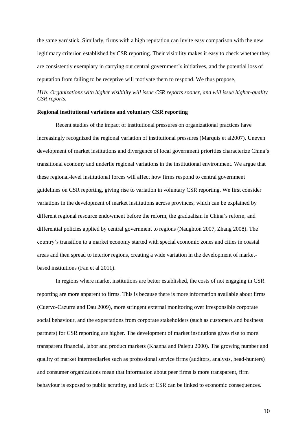the same yardstick. Similarly, firms with a high reputation can invite easy comparison with the new legitimacy criterion established by CSR reporting. Their visibility makes it easy to check whether they are consistently exemplary in carrying out central government"s initiatives, and the potential loss of reputation from failing to be receptive will motivate them to respond. We thus propose,

# *H1b: Organizations with higher visibility will issue CSR reports sooner, and will issue higher-quality CSR reports.*

## **Regional institutional variations and voluntary CSR reporting**

Recent studies of the impact of institutional pressures on organizational practices have increasingly recognized the regional variation of institutional pressures (Marquis et al2007). Uneven development of market institutions and divergence of local government priorities characterize China"s transitional economy and underlie regional variations in the institutional environment. We argue that these regional-level institutional forces will affect how firms respond to central government guidelines on CSR reporting, giving rise to variation in voluntary CSR reporting. We first consider variations in the development of market institutions across provinces, which can be explained by different regional resource endowment before the reform, the gradualism in China"s reform, and differential policies applied by central government to regions (Naughton 2007, Zhang 2008). The country"s transition to a market economy started with special economic zones and cities in coastal areas and then spread to interior regions, creating a wide variation in the development of marketbased institutions (Fan et al 2011).

In regions where market institutions are better established, the costs of not engaging in CSR reporting are more apparent to firms. This is because there is more information available about firms (Cuervo-Cazurra and Dau 2009), more stringent external monitoring over irresponsible corporate social behaviour, and the expectations from corporate stakeholders (such as customers and business partners) for CSR reporting are higher. The development of market institutions gives rise to more transparent financial, labor and product markets (Khanna and Palepu 2000). The growing number and quality of market intermediaries such as professional service firms (auditors, analysts, head-hunters) and consumer organizations mean that information about peer firms is more transparent, firm behaviour is exposed to public scrutiny, and lack of CSR can be linked to economic consequences.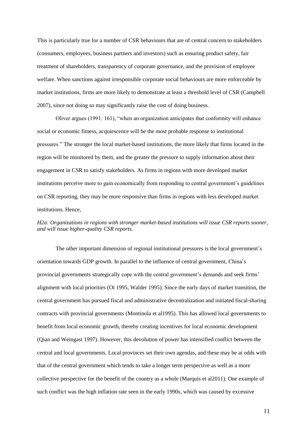This is particularly true for a number of CSR behaviours that are of central concern to stakeholders (consumers, employees, business partners and investors) such as ensuring product safety, fair treatment of shareholders, transparency of corporate governance, and the provision of employee welfare. When sanctions against irresponsible corporate social behaviours are more enforceable by market institutions, firms are more likely to demonstrate at least a threshold level of CSR (Campbell 2007), since not doing so may significantly raise the cost of doing business.

Oliver argues (1991: 161), "when an organization anticipates that conformity will enhance social or economic fitness, acquiescence will be the most probable response to institutional pressures." The stronger the local market-based institutions, the more likely that firms located in the region will be monitored by them, and the greater the pressure to supply information about their engagement in CSR to satisfy stakeholders. As firms in regions with more developed market institutions perceive more to gain economically from responding to central government's guidelines on CSR reporting, they may be more responsive than firms in regions with less developed market institutions. Hence,

# *H2a: Organizations in regions with stronger market-based institutions will issue CSR reports sooner, and will issue higher-quality CSR reports.*

The other important dimension of regional institutional pressures is the local government's orientation towards GDP growth. In parallel to the influence of central government, China"s provincial governments strategically cope with the central government"s demands and seek firms" alignment with local priorities (Oi 1995, Walder 1995). Since the early days of market transition, the central government has pursued fiscal and administrative decentralization and initiated fiscal-sharing contracts with provincial governments (Montinola et al1995). This has allowed local governments to benefit from local economic growth, thereby creating incentives for local economic development (Qian and Weingast 1997). However, this devolution of power has intensified conflict between the central and local governments. Local provinces set their own agendas, and these may be at odds with that of the central government which tends to take a longer term perspective as well as a more collective perspective for the benefit of the country as a whole (Marquis et al2011). One example of such conflict was the high inflation rate seen in the early 1990s, which was caused by excessive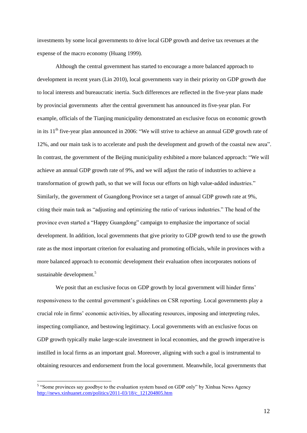investments by some local governments to drive local GDP growth and derive tax revenues at the expense of the macro economy (Huang 1999).

Although the central government has started to encourage a more balanced approach to development in recent years (Lin 2010), local governments vary in their priority on GDP growth due to local interests and bureaucratic inertia. Such differences are reflected in the five-year plans made by provincial governments after the central government has announced its five-year plan. For example, officials of the Tianjing municipality demonstrated an exclusive focus on economic growth in its  $11<sup>th</sup>$  five-year plan announced in 2006: "We will strive to achieve an annual GDP growth rate of 12%, and our main task is to accelerate and push the development and growth of the coastal new area". In contrast, the government of the Beijing municipality exhibited a more balanced approach: "We will achieve an annual GDP growth rate of 9%, and we will adjust the ratio of industries to achieve a transformation of growth path, so that we will focus our efforts on high value-added industries." Similarly, the government of Guangdong Province set a target of annual GDP growth rate at 9%, citing their main task as "adjusting and optimizing the ratio of various industries." The head of the province even started a "Happy Guangdong" campaign to emphasize the importance of social development. In addition, local governments that give priority to GDP growth tend to use the growth rate as the most important criterion for evaluating and promoting officials, while in provinces with a more balanced approach to economic development their evaluation often incorporates notions of sustainable development.<sup>5</sup>

We posit that an exclusive focus on GDP growth by local government will hinder firms' responsiveness to the central government's guidelines on CSR reporting. Local governments play a crucial role in firms" economic activities, by allocating resources, imposing and interpreting rules, inspecting compliance, and bestowing legitimacy. Local governments with an exclusive focus on GDP growth typically make large-scale investment in local economies, and the growth imperative is instilled in local firms as an important goal. Moreover, aligning with such a goal is instrumental to obtaining resources and endorsement from the local government. Meanwhile, local governments that

<sup>&</sup>lt;sup>5</sup> "Some provinces say goodbye to the evaluation system based on GDP only" by Xinhua News Agency [http://news.xinhuanet.com/politics/2011-03/18/c\\_121204805.htm](http://news.xinhuanet.com/politics/2011-03/18/c_121204805.htm)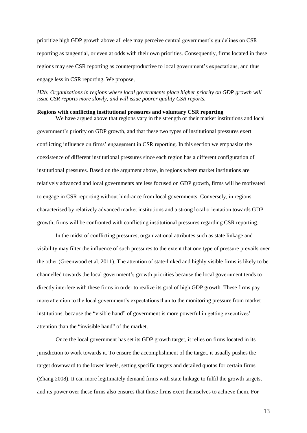prioritize high GDP growth above all else may perceive central government"s guidelines on CSR reporting as tangential, or even at odds with their own priorities. Consequently, firms located in these regions may see CSR reporting as counterproductive to local government"s expectations, and thus engage less in CSR reporting. We propose,

## *H2b: Organizations in regions where local governments place higher priority on GDP growth will issue CSR reports more slowly, and will issue poorer quality CSR reports.*

### **Regions with conflicting institutional pressures and voluntary CSR reporting**

We have argued above that regions vary in the strength of their market institutions and local government's priority on GDP growth, and that these two types of institutional pressures exert conflicting influence on firms" engagement in CSR reporting. In this section we emphasize the coexistence of different institutional pressures since each region has a different configuration of institutional pressures. Based on the argument above, in regions where market institutions are relatively advanced and local governments are less focused on GDP growth, firms will be motivated to engage in CSR reporting without hindrance from local governments. Conversely, in regions characterised by relatively advanced market institutions and a strong local orientation towards GDP growth, firms will be confronted with conflicting institutional pressures regarding CSR reporting.

In the midst of conflicting pressures, organizational attributes such as state linkage and visibility may filter the influence of such pressures to the extent that one type of pressure prevails over the other (Greenwood et al. 2011). The attention of state-linked and highly visible firms is likely to be channelled towards the local government"s growth priorities because the local government tends to directly interfere with these firms in order to realize its goal of high GDP growth. These firms pay more attention to the local government's expectations than to the monitoring pressure from market institutions, because the "visible hand" of government is more powerful in getting executives" attention than the "invisible hand" of the market.

Once the local government has set its GDP growth target, it relies on firms located in its jurisdiction to work towards it. To ensure the accomplishment of the target, it usually pushes the target downward to the lower levels, setting specific targets and detailed quotas for certain firms (Zhang 2008). It can more legitimately demand firms with state linkage to fulfil the growth targets, and its power over these firms also ensures that those firms exert themselves to achieve them. For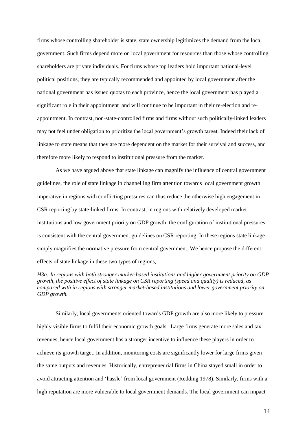firms whose controlling shareholder is state, state ownership legitimizes the demand from the local government. Such firms depend more on local government for resources than those whose controlling shareholders are private individuals. For firms whose top leaders hold important national-level political positions, they are typically recommended and appointed by local government after the national government has issued quotas to each province, hence the local government has played a significant role in their appointment and will continue to be important in their re-election and reappointment. In contrast, non-state-controlled firms and firms without such politically-linked leaders may not feel under obligation to prioritize the local government"s growth target. Indeed their lack of linkage to state means that they are more dependent on the market for their survival and success, and therefore more likely to respond to institutional pressure from the market.

As we have argued above that state linkage can magnify the influence of central government guidelines, the role of state linkage in channelling firm attention towards local government growth imperative in regions with conflicting pressures can thus reduce the otherwise high engagement in CSR reporting by state-linked firms. In contrast, in regions with relatively developed market institutions and low government priority on GDP growth, the configuration of institutional pressures is consistent with the central government guidelines on CSR reporting. In these regions state linkage simply magnifies the normative pressure from central government. We hence propose the different effects of state linkage in these two types of regions,

*H3a: In regions with both stronger market-based institutions and higher government priority on GDP growth, the positive effect of state linkage on CSR reporting (speed and quality) is reduced, as compared with in regions with stronger market-based institutions and lower government priority on GDP growth.* 

Similarly, local governments oriented towards GDP growth are also more likely to pressure highly visible firms to fulfil their economic growth goals. Large firms generate more sales and tax revenues, hence local government has a stronger incentive to influence these players in order to achieve its growth target. In addition, monitoring costs are significantly lower for large firms given the same outputs and revenues. Historically, entrepreneurial firms in China stayed small in order to avoid attracting attention and "hassle" from local government (Redding 1978). Similarly, firms with a high reputation are more vulnerable to local government demands. The local government can impact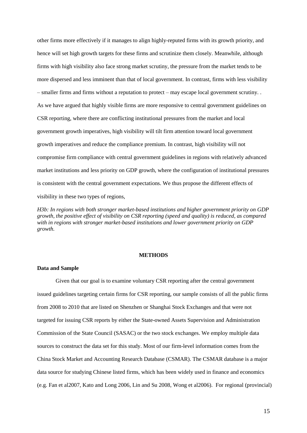other firms more effectively if it manages to align highly-reputed firms with its growth priority, and hence will set high growth targets for these firms and scrutinize them closely. Meanwhile, although firms with high visibility also face strong market scrutiny, the pressure from the market tends to be more dispersed and less imminent than that of local government. In contrast, firms with less visibility – smaller firms and firms without a reputation to protect – may escape local government scrutiny. . As we have argued that highly visible firms are more responsive to central government guidelines on CSR reporting, where there are conflicting institutional pressures from the market and local government growth imperatives, high visibility will tilt firm attention toward local government growth imperatives and reduce the compliance premium. In contrast, high visibility will not compromise firm compliance with central government guidelines in regions with relatively advanced market institutions and less priority on GDP growth, where the configuration of institutional pressures is consistent with the central government expectations. We thus propose the different effects of visibility in these two types of regions,

*H3b: In regions with both stronger market-based institutions and higher government priority on GDP growth, the positive effect of visibility on CSR reporting (speed and quality) is reduced, as compared with in regions with stronger market-based institutions and lower government priority on GDP growth.* 

#### **METHODS**

## **Data and Sample**

Given that our goal is to examine voluntary CSR reporting after the central government issued guidelines targeting certain firms for CSR reporting, our sample consists of all the public firms from 2008 to 2010 that are listed on Shenzhen or Shanghai Stock Exchanges and that were not targeted for issuing CSR reports by either the State-owned Assets Supervision and Administration Commission of the State Council (SASAC) or the two stock exchanges. We employ multiple data sources to construct the data set for this study. Most of our firm-level information comes from the China Stock Market and Accounting Research Database (CSMAR). The CSMAR database is a major data source for studying Chinese listed firms, which has been widely used in finance and economics (e.g. Fan et al2007, Kato and Long 2006, Lin and Su 2008, Wong et al2006). For regional (provincial)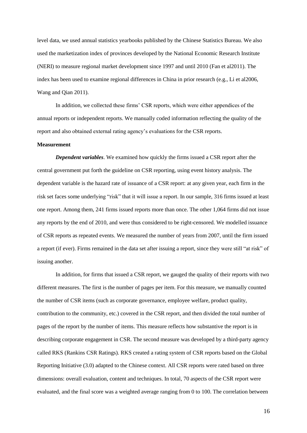level data, we used annual statistics yearbooks published by the Chinese Statistics Bureau. We also used the marketization index of provinces developed by the National Economic Research Institute (NERI) to measure regional market development since 1997 and until 2010 (Fan et al2011). The index has been used to examine regional differences in China in prior research (e.g., Li et al2006, Wang and Qian 2011).

In addition, we collected these firms" CSR reports, which were either appendices of the annual reports or independent reports. We manually coded information reflecting the quality of the report and also obtained external rating agency"s evaluations for the CSR reports.

## **Measurement**

*Dependent variables*. We examined how quickly the firms issued a CSR report after the central government put forth the guideline on CSR reporting, using event history analysis. The dependent variable is the hazard rate of issuance of a CSR report: at any given year, each firm in the risk set faces some underlying "risk" that it will issue a report. In our sample, 316 firms issued at least one report. Among them, 241 firms issued reports more than once. The other 1,064 firms did not issue any reports by the end of 2010, and were thus considered to be right-censored. We modelled issuance of CSR reports as repeated events. We measured the number of years from 2007, until the firm issued a report (if ever). Firms remained in the data set after issuing a report, since they were still "at risk" of issuing another.

In addition, for firms that issued a CSR report, we gauged the quality of their reports with two different measures. The first is the number of pages per item. For this measure, we manually counted the number of CSR items (such as corporate governance, employee welfare, product quality, contribution to the community, etc.) covered in the CSR report, and then divided the total number of pages of the report by the number of items. This measure reflects how substantive the report is in describing corporate engagement in CSR. The second measure was developed by a third-party agency called RKS (Rankins CSR Ratings). RKS created a rating system of CSR reports based on the Global Reporting Initiative (3.0) adapted to the Chinese context. All CSR reports were rated based on three dimensions: overall evaluation, content and techniques. In total, 70 aspects of the CSR report were evaluated, and the final score was a weighted average ranging from 0 to 100. The correlation between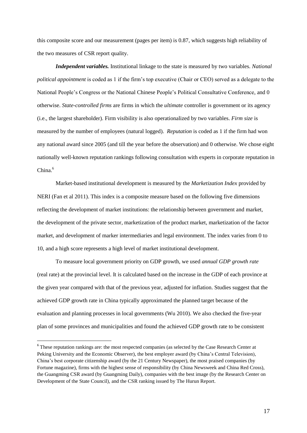this composite score and our measurement (pages per item) is 0.87, which suggests high reliability of the two measures of CSR report quality.

*Independent variables.* Institutional linkage to the state is measured by two variables. *National political appointment* is coded as 1 if the firm"s top executive (Chair or CEO) served as a delegate to the National People"s Congress or the National Chinese People"s Political Consultative Conference, and 0 otherwise. *State-controlled firms* are firms in which the *ultimate* controller is government or its agency (i.e., the largest shareholder). Firm visibility is also operationalized by two variables. *Firm size* is measured by the number of employees (natural logged). *Reputation* is coded as 1 if the firm had won any national award since 2005 (and till the year before the observation) and 0 otherwise. We chose eight nationally well-known reputation rankings following consultation with experts in corporate reputation in China. 6

Market-based institutional development is measured by the *Marketization Index* provided by NERI (Fan et al 2011). This index is a composite measure based on the following five dimensions reflecting the development of market institutions: the relationship between government and market, the development of the private sector, marketization of the product market, marketization of the factor market, and development of marker intermediaries and legal environment. The index varies from 0 to 10, and a high score represents a high level of market institutional development.

To measure local government priority on GDP growth, we used *annual GDP growth rate* (real rate) at the provincial level. It is calculated based on the increase in the GDP of each province at the given year compared with that of the previous year, adjusted for inflation. Studies suggest that the achieved GDP growth rate in China typically approximated the planned target because of the evaluation and planning processes in local governments (Wu 2010). We also checked the five-year plan of some provinces and municipalities and found the achieved GDP growth rate to be consistent

<sup>&</sup>lt;sup>6</sup> These reputation rankings are: the most respected companies (as selected by the Case Research Center at Peking University and the Economic Observer), the best employer award (by China's Central Television), China"s best corporate citizenship award (by the 21 Century Newspaper), the most praised companies (by Fortune magazine), firms with the highest sense of responsibility (by China Newsweek and China Red Cross), the Guangming CSR award (by Guangming Daily), companies with the best image (by the Research Center on Development of the State Council), and the CSR ranking issued by The Hurun Report.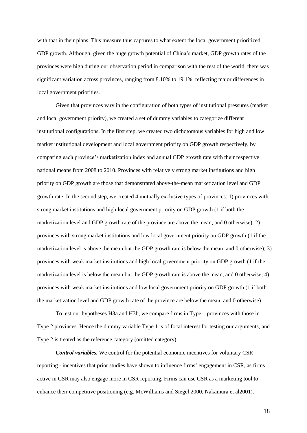with that in their plans. This measure thus captures to what extent the local government prioritized GDP growth. Although, given the huge growth potential of China"s market, GDP growth rates of the provinces were high during our observation period in comparison with the rest of the world, there was significant variation across provinces, ranging from 8.10% to 19.1%, reflecting major differences in local government priorities.

Given that provinces vary in the configuration of both types of institutional pressures (market and local government priority), we created a set of dummy variables to categorize different institutional configurations. In the first step, we created two dichotomous variables for high and low market institutional development and local government priority on GDP growth respectively, by comparing each province"s marketization index and annual GDP growth rate with their respective national means from 2008 to 2010. Provinces with relatively strong market institutions and high priority on GDP growth are those that demonstrated above-the-mean marketization level and GDP growth rate. In the second step, we created 4 mutually exclusive types of provinces: 1) provinces with strong market institutions and high local government priority on GDP growth (1 if both the marketization level and GDP growth rate of the province are above the mean, and 0 otherwise); 2) provinces with strong market institutions and low local government priority on GDP growth (1 if the marketization level is above the mean but the GDP growth rate is below the mean, and 0 otherwise); 3) provinces with weak market institutions and high local government priority on GDP growth (1 if the marketization level is below the mean but the GDP growth rate is above the mean, and 0 otherwise; 4) provinces with weak market institutions and low local government priority on GDP growth (1 if both the marketization level and GDP growth rate of the province are below the mean, and 0 otherwise).

To test our hypotheses H3a and H3b, we compare firms in Type 1 provinces with those in Type 2 provinces. Hence the dummy variable Type 1 is of focal interest for testing our arguments, and Type 2 is treated as the reference category (omitted category).

*Control variables.* We control for the potential economic incentives for voluntary CSR reporting - incentives that prior studies have shown to influence firms" engagement in CSR, as firms active in CSR may also engage more in CSR reporting. Firms can use CSR as a marketing tool to enhance their competitive positioning (e.g. McWilliams and Siegel 2000, Nakamura et al2001).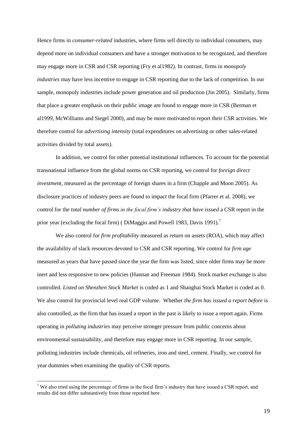Hence firms in *consumer-related* industries, where firms sell directly to individual consumers, may depend more on individual consumers and have a stronger motivation to be recognized, and therefore may engage more in CSR and CSR reporting (Fry et al1982). In contrast, firms in *monopoly industries* may have less incentive to engage in CSR reporting due to the lack of competition. In our sample, monopoly industries include power generation and oil production (Jin 2005). Similarly, firms that place a greater emphasis on their public image are found to engage more in CSR (Berman et al1999, McWilliams and Siegel 2000), and may be more motivated to report their CSR activities. We therefore control for *advertising intensity* (total expenditures on advertising or other sales-related activities divided by total assets).

In addition, we control for other potential institutional influences. To account for the potential transnational influence from the global norms on CSR reporting, we control for *foreign direct investment*, measured as the percentage of foreign shares in a firm (Chapple and Moon 2005). As disclosure practices of industry peers are found to impact the focal firm (Pfarrer et al. 2008), we control for the *total number of firms in the focal firm's industry that have issued* a CSR report in the prior year (excluding the focal firm) (DiMaggio and Powell 1983, Davis 1991).<sup>7</sup>

We also control for *firm profitability* measured as return on assets (ROA), which may affect the availability of slack resources devoted to CSR and CSR reporting. We control for *firm age* measured as years that have passed since the year the firm was listed, since older firms may be more inert and less responsive to new policies (Hannan and Freeman 1984). Stock market exchange is also controlled. *Listed on Shenzhen Stock Market* is coded as 1 and Shanghai Stock Market is coded as 0. We also control for provincial level real GDP volume. Whether *the firm has issued a report before* is also controlled, as the firm that has issued a report in the past is likely to issue a report again. Firms operating in *polluting industries* may perceive stronger pressure from public concerns about environmental sustainability, and therefore may engage more in CSR reporting. In our sample, polluting industries include chemicals, oil refineries, iron and steel, cement*.* Finally, we control for year dummies when examining the quality of CSR reports.

<u>.</u>

<sup>&</sup>lt;sup>7</sup> We also tried using the percentage of firms in the focal firm's industry that have issued a CSR report, and results did not differ substantively from those reported here.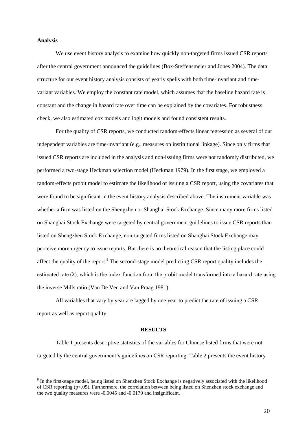### **Analysis**

<u>.</u>

We use event history analysis to examine how quickly non-targeted firms issued CSR reports after the central government announced the guidelines (Box-Steffensmeier and Jones 2004). The data structure for our event history analysis consists of yearly spells with both time-invariant and timevariant variables. We employ the constant rate model, which assumes that the baseline hazard rate is constant and the change in hazard rate over time can be explained by the covariates. For robustness check, we also estimated cox models and logit models and found consistent results.

For the quality of CSR reports, we conducted random-effects linear regression as several of our independent variables are time-invariant (e.g., measures on institutional linkage). Since only firms that issued CSR reports are included in the analysis and non-issuing firms were not randomly distributed, we performed a two-stage Heckman selection model (Heckman 1979). In the first stage, we employed a random-effects probit model to estimate the likelihood of issuing a CSR report, using the covariates that were found to be significant in the event history analysis described above. The instrument variable was whether a firm was listed on the Shengzhen or Shanghai Stock Exchange. Since many more firms listed on Shanghai Stock Exchange were targeted by central government guidelines to issue CSR reports than listed on Shengzhen Stock Exchange, non-targeted firms listed on Shanghai Stock Exchange may perceive more urgency to issue reports. But there is no theoretical reason that the listing place could affect the quality of the report.<sup>8</sup> The second-stage model predicting CSR report quality includes the estimated rate  $(\lambda)$ , which is the index function from the probit model transformed into a hazard rate using the inverse Mills ratio (Van De Ven and Van Praag 1981).

All variables that vary by year are lagged by one year to predict the rate of issuing a CSR report as well as report quality.

#### **RESULTS**

Table 1 presents descriptive statistics of the variables for Chinese listed firms that were not targeted by the central government"s guidelines on CSR reporting. Table 2 presents the event history

<sup>&</sup>lt;sup>8</sup> In the first-stage model, being listed on Shenzhen Stock Exchange is negatively associated with the likelihood of CSR reporting (p<.05). Furthermore, the correlation between being listed on Shenzhen stock exchange and the two quality measures were -0.0045 and -0.0179 and insignificant.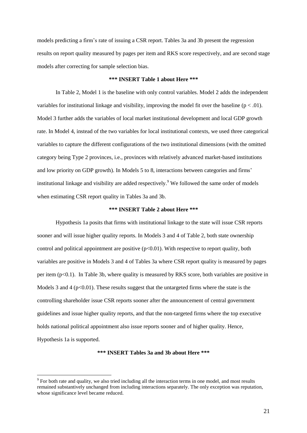models predicting a firm"s rate of issuing a CSR report. Tables 3a and 3b present the regression results on report quality measured by pages per item and RKS score respectively, and are second stage models after correcting for sample selection bias.

### **\*\*\* INSERT Table 1 about Here \*\*\***

In Table 2, Model 1 is the baseline with only control variables. Model 2 adds the independent variables for institutional linkage and visibility, improving the model fit over the baseline ( $p < .01$ ). Model 3 further adds the variables of local market institutional development and local GDP growth rate. In Model 4, instead of the two variables for local institutional contexts, we used three categorical variables to capture the different configurations of the two institutional dimensions (with the omitted category being Type 2 provinces, i.e., provinces with relatively advanced market-based institutions and low priority on GDP growth). In Models 5 to 8, interactions between categories and firms" institutional linkage and visibility are added respectively. <sup>9</sup> We followed the same order of models when estimating CSR report quality in Tables 3a and 3b.

## **\*\*\* INSERT Table 2 about Here \*\*\***

Hypothesis 1a posits that firms with institutional linkage to the state will issue CSR reports sooner and will issue higher quality reports. In Models 3 and 4 of Table 2, both state ownership control and political appointment are positive  $(p<0.01)$ . With respective to report quality, both variables are positive in Models 3 and 4 of Tables 3a where CSR report quality is measured by pages per item  $(p<0.1)$ . In Table 3b, where quality is measured by RKS score, both variables are positive in Models 3 and 4 ( $p<0.01$ ). These results suggest that the untargeted firms where the state is the controlling shareholder issue CSR reports sooner after the announcement of central government guidelines and issue higher quality reports, and that the non-targeted firms where the top executive holds national political appointment also issue reports sooner and of higher quality. Hence, Hypothesis 1a is supported.

**\*\*\* INSERT Tables 3a and 3b about Here \*\*\***

<u>.</u>

<sup>&</sup>lt;sup>9</sup> For both rate and quality, we also tried including all the interaction terms in one model, and most results remained substantively unchanged from including interactions separately. The only exception was reputation, whose significance level became reduced.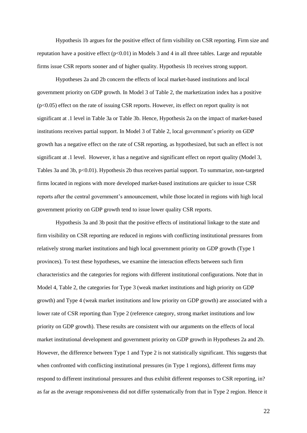Hypothesis 1b argues for the positive effect of firm visibility on CSR reporting. Firm size and reputation have a positive effect  $(p<0.01)$  in Models 3 and 4 in all three tables. Large and reputable firms issue CSR reports sooner and of higher quality. Hypothesis 1b receives strong support.

Hypotheses 2a and 2b concern the effects of local market-based institutions and local government priority on GDP growth. In Model 3 of Table 2, the marketization index has a positive  $(p<0.05)$  effect on the rate of issuing CSR reports. However, its effect on report quality is not significant at .1 level in Table 3a or Table 3b. Hence, Hypothesis 2a on the impact of market-based institutions receives partial support. In Model 3 of Table 2, local government's priority on GDP growth has a negative effect on the rate of CSR reporting, as hypothesized, but such an effect is not significant at .1 level. However, it has a negative and significant effect on report quality (Model 3, Tables 3a and 3b, p<0.01). Hypothesis 2b thus receives partial support. To summarize, non-targeted firms located in regions with more developed market-based institutions are quicker to issue CSR reports after the central government's announcement, while those located in regions with high local government priority on GDP growth tend to issue lower quality CSR reports.

Hypothesis 3a and 3b posit that the positive effects of institutional linkage to the state and firm visibility on CSR reporting are reduced in regions with conflicting institutional pressures from relatively strong market institutions and high local government priority on GDP growth (Type 1 provinces). To test these hypotheses, we examine the interaction effects between such firm characteristics and the categories for regions with different institutional configurations. Note that in Model 4, Table 2, the categories for Type 3 (weak market institutions and high priority on GDP growth) and Type 4 (weak market institutions and low priority on GDP growth) are associated with a lower rate of CSR reporting than Type 2 (reference category, strong market institutions and low priority on GDP growth). These results are consistent with our arguments on the effects of local market institutional development and government priority on GDP growth in Hypotheses 2a and 2b. However, the difference between Type 1 and Type 2 is not statistically significant. This suggests that when confronted with conflicting institutional pressures (in Type 1 regions), different firms may respond to different institutional pressures and thus exhibit different responses to CSR reporting, in? as far as the average responsiveness did not differ systematically from that in Type 2 region. Hence it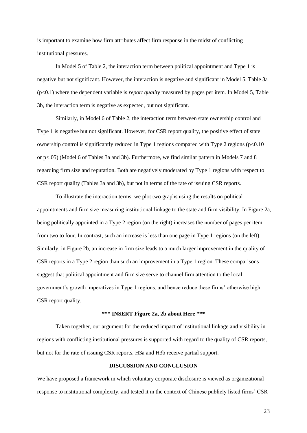is important to examine how firm attributes affect firm response in the midst of conflicting institutional pressures.

In Model 5 of Table 2, the interaction term between political appointment and Type 1 is negative but not significant. However, the interaction is negative and significant in Model 5, Table 3a (p<0.1) where the dependent variable is *report quality* measured by pages per item. In Model 5, Table 3b, the interaction term is negative as expected, but not significant.

Similarly, in Model 6 of Table 2, the interaction term between state ownership control and Type 1 is negative but not significant. However, for CSR report quality, the positive effect of state ownership control is significantly reduced in Type 1 regions compared with Type 2 regions (p<0.10 or p<.05) (Model 6 of Tables 3a and 3b). Furthermore, we find similar pattern in Models 7 and 8 regarding firm size and reputation. Both are negatively moderated by Type 1 regions with respect to CSR report quality (Tables 3a and 3b), but not in terms of the rate of issuing CSR reports.

To illustrate the interaction terms, we plot two graphs using the results on political appointments and firm size measuring institutional linkage to the state and firm visibility. In Figure 2a, being politically appointed in a Type 2 region (on the right) increases the number of pages per item from two to four. In contrast, such an increase is less than one page in Type 1 regions (on the left). Similarly, in Figure 2b, an increase in firm size leads to a much larger improvement in the quality of CSR reports in a Type 2 region than such an improvement in a Type 1 region. These comparisons suggest that political appointment and firm size serve to channel firm attention to the local government"s growth imperatives in Type 1 regions, and hence reduce these firms" otherwise high CSR report quality.

# **\*\*\* INSERT Figure 2a, 2b about Here \*\*\***

Taken together, our argument for the reduced impact of institutional linkage and visibility in regions with conflicting institutional pressures is supported with regard to the quality of CSR reports, but not for the rate of issuing CSR reports. H3a and H3b receive partial support.

## **DISCUSSION AND CONCLUSION**

We have proposed a framework in which voluntary corporate disclosure is viewed as organizational response to institutional complexity, and tested it in the context of Chinese publicly listed firms" CSR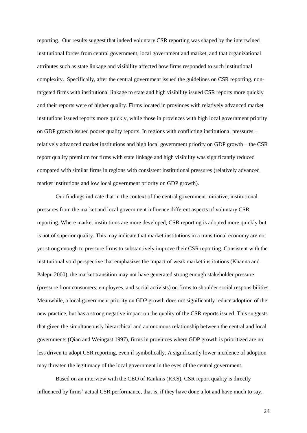reporting. Our results suggest that indeed voluntary CSR reporting was shaped by the intertwined institutional forces from central government, local government and market, and that organizational attributes such as state linkage and visibility affected how firms responded to such institutional complexity. Specifically, after the central government issued the guidelines on CSR reporting, nontargeted firms with institutional linkage to state and high visibility issued CSR reports more quickly and their reports were of higher quality. Firms located in provinces with relatively advanced market institutions issued reports more quickly, while those in provinces with high local government priority on GDP growth issued poorer quality reports. In regions with conflicting institutional pressures – relatively advanced market institutions and high local government priority on GDP growth – the CSR report quality premium for firms with state linkage and high visibility was significantly reduced compared with similar firms in regions with consistent institutional pressures (relatively advanced market institutions and low local government priority on GDP growth).

Our findings indicate that in the context of the central government initiative, institutional pressures from the market and local government influence different aspects of voluntary CSR reporting. Where market institutions are more developed, CSR reporting is adopted more quickly but is not of superior quality. This may indicate that market institutions in a transitional economy are not yet strong enough to pressure firms to substantively improve their CSR reporting. Consistent with the institutional void perspective that emphasizes the impact of weak market institutions (Khanna and Palepu 2000), the market transition may not have generated strong enough stakeholder pressure (pressure from consumers, employees, and social activists) on firms to shoulder social responsibilities. Meanwhile, a local government priority on GDP growth does not significantly reduce adoption of the new practice, but has a strong negative impact on the quality of the CSR reports issued. This suggests that given the simultaneously hierarchical and autonomous relationship between the central and local governments (Qian and Weingast 1997), firms in provinces where GDP growth is prioritized are no less driven to adopt CSR reporting, even if symbolically. A significantly lower incidence of adoption may threaten the legitimacy of the local government in the eyes of the central government.

Based on an interview with the CEO of Rankins (RKS), CSR report quality is directly influenced by firms' actual CSR performance, that is, if they have done a lot and have much to say,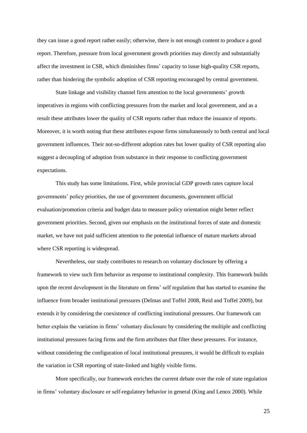they can issue a good report rather easily; otherwise, there is not enough content to produce a good report. Therefore, pressure from local government growth priorities may directly and substantially affect the investment in CSR, which diminishes firms" capacity to issue high-quality CSR reports, rather than hindering the symbolic adoption of CSR reporting encouraged by central government.

State linkage and visibility channel firm attention to the local governments' growth imperatives in regions with conflicting pressures from the market and local government, and as a result these attributes lower the quality of CSR reports rather than reduce the issuance of reports. Moreover, it is worth noting that these attributes expose firms simultaneously to both central and local government influences. Their not-so-different adoption rates but lower quality of CSR reporting also suggest a decoupling of adoption from substance in their response to conflicting government expectations.

This study has some limitations. First, while provincial GDP growth rates capture local governments" policy priorities, the use of government documents, government official evaluation/promotion criteria and budget data to measure policy orientation might better reflect government priorities. Second, given our emphasis on the institutional forces of state and domestic market, we have not paid sufficient attention to the potential influence of mature markets abroad where CSR reporting is widespread.

Nevertheless, our study contributes to research on voluntary disclosure by offering a framework to view such firm behavior as response to institutional complexity. This framework builds upon the recent development in the literature on firms" self regulation that has started to examine the influence from broader institutional pressures (Delmas and Toffel 2008, Reid and Toffel 2009), but extends it by considering the coexistence of conflicting institutional pressures. Our framework can better explain the variation in firms' voluntary disclosure by considering the multiple and conflicting institutional pressures facing firms and the firm attributes that filter these pressures. For instance, without considering the configuration of local institutional pressures, it would be difficult to explain the variation in CSR reporting of state-linked and highly visible firms.

More specifically, our framework enriches the current debate over the role of state regulation in firms" voluntary disclosure or self-regulatory behavior in general (King and Lenox 2000). While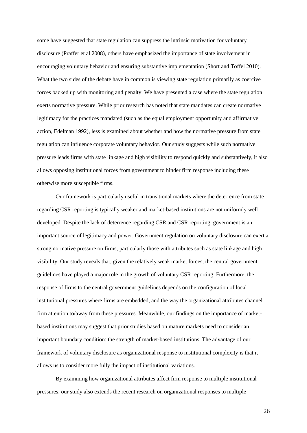some have suggested that state regulation can suppress the intrinsic motivation for voluntary disclosure (Praffer et al 2008), others have emphasized the importance of state involvement in encouraging voluntary behavior and ensuring substantive implementation (Short and Toffel 2010). What the two sides of the debate have in common is viewing state regulation primarily as coercive forces backed up with monitoring and penalty. We have presented a case where the state regulation exerts normative pressure. While prior research has noted that state mandates can create normative legitimacy for the practices mandated (such as the equal employment opportunity and affirmative action, Edelman 1992), less is examined about whether and how the normative pressure from state regulation can influence corporate voluntary behavior. Our study suggests while such normative pressure leads firms with state linkage and high visibility to respond quickly and substantively, it also allows opposing institutional forces from government to hinder firm response including these otherwise more susceptible firms.

Our framework is particularly useful in transitional markets where the deterrence from state regarding CSR reporting is typically weaker and market-based institutions are not uniformly well developed. Despite the lack of deterrence regarding CSR and CSR reporting, government is an important source of legitimacy and power. Government regulation on voluntary disclosure can exert a strong normative pressure on firms, particularly those with attributes such as state linkage and high visibility. Our study reveals that, given the relatively weak market forces, the central government guidelines have played a major role in the growth of voluntary CSR reporting. Furthermore, the response of firms to the central government guidelines depends on the configuration of local institutional pressures where firms are embedded, and the way the organizational attributes channel firm attention to/away from these pressures. Meanwhile, our findings on the importance of marketbased institutions may suggest that prior studies based on mature markets need to consider an important boundary condition: the strength of market-based institutions. The advantage of our framework of voluntary disclosure as organizational response to institutional complexity is that it allows us to consider more fully the impact of institutional variations.

By examining how organizational attributes affect firm response to multiple institutional pressures, our study also extends the recent research on organizational responses to multiple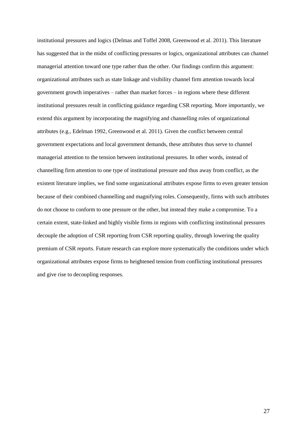institutional pressures and logics (Delmas and Toffel 2008, Greenwood et al. 2011). This literature has suggested that in the midst of conflicting pressures or logics, organizational attributes can channel managerial attention toward one type rather than the other. Our findings confirm this argument: organizational attributes such as state linkage and visibility channel firm attention towards local government growth imperatives – rather than market forces – in regions where these different institutional pressures result in conflicting guidance regarding CSR reporting. More importantly, we extend this argument by incorporating the magnifying and channelling roles of organizational attributes (e.g., Edelman 1992, Greenwood et al. 2011). Given the conflict between central government expectations and local government demands, these attributes thus serve to channel managerial attention to the tension between institutional pressures. In other words, instead of channelling firm attention to one type of institutional pressure and thus away from conflict, as the existent literature implies, we find some organizational attributes expose firms to even greater tension because of their combined channelling and magnifying roles. Consequently, firms with such attributes do not choose to conform to one pressure or the other, but instead they make a compromise. To a certain extent, state-linked and highly visible firms in regions with conflicting institutional pressures decouple the adoption of CSR reporting from CSR reporting quality, through lowering the quality premium of CSR reports. Future research can explore more systematically the conditions under which organizational attributes expose firms to heightened tension from conflicting institutional pressures and give rise to decoupling responses.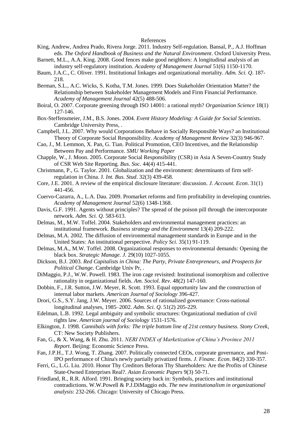#### References

- King, Andrew, Andrea Prado, Rivera Jorge. 2011. Industry Self-regulation. Bansal, P., A.J. Hoffman eds. *The Oxford Handbook of Business and the Natural Environment*. Oxford University Press.
- Barnett, M.L., A.A. King. 2008. Good fences make good neighbors: A longitudinal analysis of an industry self-regulatory institution. *Academy of Management Journal* 51(6) 1150-1170.
- Baum, J.A.C., C. Oliver. 1991. Institutional linkages and organizational mortality. *Adm. Sci. Q*. 187- 218.
- Berman, S.L., A.C. Wicks, S. Kotha, T.M. Jones. 1999. Does Stakeholder Orientation Matter? the Relationship between Stakeholder Management Models and Firm Financial Performance. *Academy of Management Journal* 42(5) 488-506.
- Boiral, O. 2007. Corporate greening through ISO 14001: a rational myth? *Organization Science* 18(1) 127-146.
- Box-Steffensmeier, J.M., B.S. Jones. 2004. *Event History Modeling: A Guide for Social Scientists*. Cambridge University Press, .
- Campbell, J.L. 2007. Why would Corporations Behave in Socially Responsible Ways? an Institutional Theory of Corporate Social Responsibility. *Academy of Management Review* 32(3) 946-967.
- Cao, J., M. Lemmon, X. Pan, G. Tian. Political Promotion, CEO Incentives, and the Relationship Between Pay and Performance. *SMU Working Paper*
- Chapple, W., J. Moon. 2005. Corporate Social Responsibility (CSR) in Asia A Seven-Country Study of CSR Web Site Reporting. *Bus. Soc*. 44(4) 415-441.
- Christmann, P., G. Taylor. 2001. Globalization and the environment: determinants of firm selfregulation in China. J*. Int. Bus. Stud*. 32(3) 439-458.
- Core, J.E. 2001. A review of the empirical disclosure literature: discussion. *J. Account. Econ*. 31(1) 441-456.
- Cuervo-Cazurra, A., L.A. Dau. 2009. Promarket reforms and firm profitability in developing countries. *Academy of Management Journal* 52(6) 1348-1368.
- Davis, G.F. 1991. Agents without principles? The spread of the poison pill through the intercorporate network. *Adm. Sci. Q*. 583-613.
- Delmas, M., M.W. Toffel. 2004. Stakeholders and environmental management practices: an institutional framework. *Business strategy and the Environment* 13(4) 209-222.
- Delmas, M.A. 2002. The diffusion of environmental management standards in Europe and in the United States: An institutional perspective. *Policy Sci*. 35(1) 91-119.
- Delmas, M.A., M.W. Toffel. 2008. Organizational responses to environmental demands: Opening the black box. *Strategic Manage. J*. 29(10) 1027-1055.
- Dickson, B.J. 2003. *Red Capitalists in China: The Party, Private Entrepreneurs, and Prospects for Political Change*. Cambridge Univ Pr, .
- DiMaggio, P.J., W.W. Powell. 1983. The iron cage revisited: Institutional isomorphism and collective rationality in organizational fields. *Am. Sociol. Rev*. 48(2) 147-160.
- Dobbin, F., J.R. Sutton, J.W. Meyer, R. Scott. 1993. Equal opportunity law and the construction of internal labor markets. *American Journal of Sociology* 396-427.
- Drori, G.S., S.Y. Jang, J.W. Meyer. 2006. Sources of rationalized governance: Cross-national longitudinal analyses, 1985–2002. *Adm. Sci. Q*. 51(2) 205-229.
- Edelman, L.B. 1992. Legal ambiguity and symbolic structures: Organizational mediation of civil rights law. *American journal of Sociology* 1531-1576.
- Elkington, J. 1998. *Cannibals with forks: The triple bottom line of 21st century business. Stony Creek*, CT: New Society Publishers.
- Fan, G., & X. Wang, & H. Zhu. 2011. *NERI INDEX of Marketization of China's Province 2011 Report*. Beijing: Economic Science Press.
- Fan, J.P.H., T.J. Wong, T. Zhang. 2007. Politically connected CEOs, corporate governance, and Post-IPO performance of China's newly partially privatized firms. *J. Financ. Econ*. 84(2) 330-357.
- Ferri, G., L.G. Liu. 2010. Honor Thy Creditors Beforan Thy Shareholders: Are the Profits of Chinese State-Owned Enterprises Real?. *Asian Economic Papers* 9(3) 50-71.
- Friedland, R., R.R. Alford. 1991. Bringing society back in: Symbols, practices and institutional contradictions. W.W.Powell & P.J.DiMaggio eds. *The new institutionalism in organizational analysis*: 232-266. Chicago: University of Chicago Press.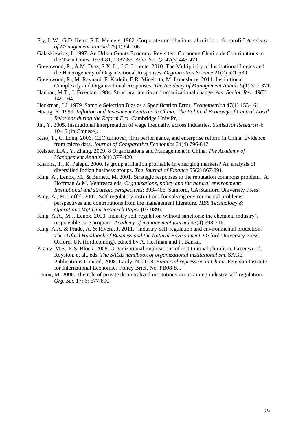- Fry, L.W., G.D. Keim, R.E. Meiners. 1982. Corporate contributions: altruistic or for-profit? *Academy of Management Journal* 25(1) 94-106.
- Galaskiewicz, J. 1997. An Urban Grants Economy Revisited: Corporate Charitable Contributions in the Twin Cities, 1979-81, 1987-89. *Adm. Sci. Q*. 42(3) 445-471.
- Greenwood, R., A.M. Díaz, S.X. Li, J.C. Lorente. 2010. The Multiplicity of Institutional Logics and the Heterogeneity of Organizational Responses. *Organization Science* 21(2) 521-539.
- Greenwood, R., M. Raynard, F. Kodeih, E.R. Micelotta, M. Lounsbury. 2011. Institutional Complexity and Organizational Responses. *The Academy of Management Annals* 5(1) 317-371.
- Hannan, M.T., J. Freeman. 1984. Structural inertia and organizational change. *Am. Sociol. Rev*. 49(2) 149-164.
- Heckman, J.J. 1979. Sample Selection Bias as a Specification Error. *Econometrica* 47(1) 153-161.
- Huang, Y. 1999. *Inflation and Investment Controls in China: The Political Economy of Central-Local Relations during the Reform Era*. Cambridge Univ Pr, .
- Jin, Y. 2005. Institutional interpretation of wage inequality across industries. *Statistical Research* 4: 10-15 (in Chinese).
- Kato, T., C. Long. 2006. CEO turnover, firm performance, and enterprise reform in China: Evidence from micro data. *Journal of Comparative Economics* 34(4) 796-817.
- Keister, L.A., Y. Zhang. 2009. 8 Organizations and Management in China. *The Academy of Management Annals* 3(1) 377-420.
- Khanna, T., K. Palepu. 2000. Is group affiliation profitable in emerging markets? An analysis of diversified Indian business groups. *The Journal of Finance* 55(2) 867-891.
- King, A., Lenox, M., & Barnett, M. 2001. Strategic responses to the reputation commons problem. A. Hoffman & M. Ventresca eds. *Organizations, policy and the natural environment: Institutional and strategic perspectives*: 393–406. Stanford, CA:Stanford University Press.
- King, A., M. Toffel. 2007. Self-regulatory institutions for solving environmental problems: perspectives and contributions from the management literature. *HBS Technology & Operations Mgt.Unit Research Paper* (07-089).
- King, A.A., M.J. Lenox. 2000. Industry self-regulation without sanctions: the chemical industry"s responsible care program. *Academy of management journal* 43(4) 698-716.
- King, A.A. & Prado, A. & Rivera, J. 2011. ["Industry Self-regulation and environmental protection."](http://mba.tuck.dartmouth.edu/pages/faculty/andrew.king/docs/CH%206%20King%20Prado%20Rivera_04_12_10.pdf) *[The Oxford Handbook of Business and the Natural Environment.](http://mba.tuck.dartmouth.edu/pages/faculty/andrew.king/docs/CH%206%20King%20Prado%20Rivera_04_12_10.pdf)* Oxford University Press, Oxford, UK (forthcoming), edited by A. Hoffman and P. Bansal.
- Kraatz, M.S., E.S. Block. 2008. Organizational implications of institutional pluralism. Greenwood, Royston, et al., eds. *The SAGE handbook of organizational institutionalism*. SAGE Publications Limited, 2008. Lardy, N. 2008. *Financial repression in China*. Peterson Institute for International Economics Policy Brief, No. PB08-8. .
- Lenox, M. 2006. The role of private decentralized institutions in sustaining industry self-regulation. *Org. Sci*. 17: 6: 677-690.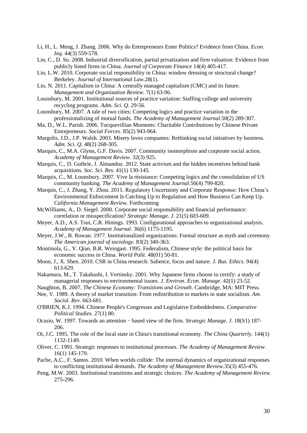- Li, H., L. Meng, J. Zhang. 2006. Why do Entrepreneurs Enter Politics? Evidence from China. *Econ. Inq*. 44(3) 559-578.
- Lin, C., D. Su. 2008. Industrial diversification, partial privatization and firm valuation: Evidence from publicly listed firms in China. *Journal of Corporate Finance* 14(4) 405-417.
- Lin, L.W. 2010. Corporate social responsibility in China: window dressing or structural change? Berkeley. *Journal of International Law.*28(1).
- Lin, N. 2011. Capitalism in China: A centrally managed capitalism (CMC) and its future. *Management and Organization Review.* 7(1) 63-96.
- Lounsbury, M. 2001. Institutional sources of practice variation: Staffing college and university recycling programs. *Adm. Sci. Q*. 29-56.
- Lounsbury, M. 2007. A tale of two cities: Competing logics and practice variation in the professionalizing of mutual funds. *The Academy of Management Journal*.50(2) 289-307.
- Ma, D., W.L. Parish. 2006. Tocquevillian Moments: Charitable Contributions by Chinese Private Entrepreneurs. *Social Forces*. 85(2) 943-964.
- Margolis, J.D., J.P. Walsh. 2003. Misery loves companies: Rethinking social initiatives by business. *Adm. Sci. Q*. 48(2) 268-305.
- Marquis, C., M.A. Glynn, G.F. Davis. 2007. Community isomorphism and corporate social action. *Academy of Management Review*. 32(3) 925.
- Marquis, C., D. Guthrie, J. Almandoz. 2012. State activism and the hidden incentives behind bank acquisitions. *Soc. Sci. Res*. 41(1) 130-145.
- Marquis, C., M. Lounsbury. 2007. Vive la résistance: Competing logics and the consolidation of US community banking. *The Academy of Management Journal*.50(4) 799-820.
- Marquis, C., J. Zhang, Y. Zhou. 2011. Regulatory Uncertainty and Corporate Response: How China"s Environmental Enforcement Is Catching Up to Regulation and How Business Can Keep Up. *California Management Review*. Forthcoming
- McWilliams, A., D. Siegel. 2000. Corporate social responsibility and financial performance: correlation or misspecification? *Strategic Manage. J*. 21(5) 603-609.
- Meyer, A.D., A.S. Tsui, C.R. Hinings. 1993. Configurational approaches to organizational analysis. *Academy of Management Journal*. 36(6) 1175-1195.
- Meyer, J.W., B. Rowan. 1977. Institutionalized organizations: Formal structure as myth and ceremony. *The American journal of sociology*. 83(2) 340-363.
- Montinola, G., Y. Qian, B.R. Weingast. 1995. Federalism, Chinese style: the political basis for economic success in China. *World Polit*. 48(01) 50-81.
- Moon, J., X. Shen. 2010. CSR in China research: Salience, focus and nature. *J. Bus. Ethics.* 94(4) 613-629.
- Nakamura, M., T. Takahashi, I. Vertinsky. 2001. Why Japanese firms choose to certify: a study of managerial responses to environmental issues. *J. Environ. Econ. Manage*. 42(1) 23-52.
- Naughton, B. 2007. *The Chinese Economy: Transitions and Growth*. Cambridge, MA: MIT Press.
- Nee, V. 1989. A theory of market transition: From redistribution to markets in state socialism. *Am. Sociol. Rev*. 663-681.
- O'BRIEN, K.J. 1994. Chinese People's Congresses and Legislative Embeddedness. *Comparative Political Studies.* 27(1) 80.
- Ocasio, W. 1997. Towards an attention‐based view of the firm. *Strategic Manage. J*. 18(S1) 187- 206.
- Oi, J.C. 1995. The role of the local state in China's transitional economy. *The China Quarterly.* 144(1) 1132-1149.
- Oliver, C. 1991. Strategic responses to institutional processes. *The Academy of Management Review*. 16(1) 145-179.
- Pache, A.C., F. Santos. 2010. When worlds collide: The internal dynamics of organizational responses to conflicting institutional demands. *The Academy of Management Review*.35(3) 455-476.
- Peng, M.W. 2003. Institutional transitions and strategic choices. *The Academy of Management Review*. 275-296.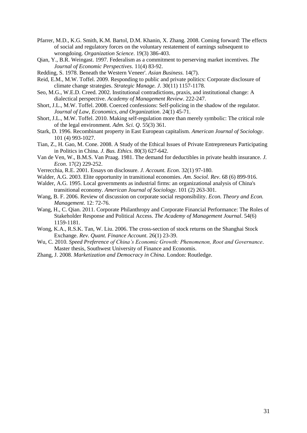- Pfarrer, M.D., K.G. Smith, K.M. Bartol, D.M. Khanin, X. Zhang. 2008. Coming forward: The effects of social and regulatory forces on the voluntary restatement of earnings subsequent to wrongdoing. *Organization Science*. 19(3) 386-403.
- Qian, Y., B.R. Weingast. 1997. Federalism as a commitment to perserving market incentives. *The Journal of Economic Perspectives*. 11(4) 83-92.
- Redding, S. 1978. Beneath the Western Veneer'. *Asian Business.* 14(7).
- Reid, E.M., M.W. Toffel. 2009. Responding to public and private politics: Corporate disclosure of climate change strategies. *Strategic Manage. J*. 30(11) 1157-1178.
- Seo, M.G., W.E.D. Creed. 2002. Institutional contradictions, praxis, and institutional change: A dialectical perspective. *Academy of Management Review*. 222-247.
- Short, J.L., M.W. Toffel. 2008. Coerced confessions: Self-policing in the shadow of the regulator. *Journal of Law, Economics, and Organization*. 24(1) 45-71.
- Short, J.L., M.W. Toffel. 2010. Making self-regulation more than merely symbolic: The critical role of the legal environment. *Adm. Sci. Q*. 55(3) 361.
- Stark, D. 1996. Recombinant property in East European capitalism. *American Journal of Sociology*. 101 (4) 993-1027.
- Tian, Z., H. Gao, M. Cone. 2008. A Study of the Ethical Issues of Private Entrepreneurs Participating in Politics in China. *J. Bus. Ethics.* 80(3) 627-642.
- Van de Ven, W., B.M.S. Van Praag. 1981. The demand for deductibles in private health insurance. *J. Econ*. 17(2) 229-252.
- Verrecchia, R.E. 2001. Essays on disclosure. *J. Account. Econ*. 32(1) 97-180.
- Walder, A.G. 2003. Elite opportunity in transitional economies. *Am. Sociol. Rev*. 68 (6) 899-916.
- Walder, A.G. 1995. Local governments as industrial firms: an organizational analysis of China's transitional economy. *American Journal of Sociology*. 101 (2) 263-301.
- Wang, B. F. 2006. Review of discussion on corporate social responsibility. *Econ. Theory and Econ. Management*. 12: 72-76.
- Wang, H., C. Qian. 2011. Corporate Philanthropy and Corporate Financial Performance: The Roles of Stakeholder Response and Political Access. *The Academy of Management Journal*. 54(6) 1159-1181.
- Wong, K.A., R.S.K. Tan, W. Liu. 2006. The cross-section of stock returns on the Shanghai Stock Exchange. *Rev. Quant. Finance Account*. 26(1) 23-39.
- Wu, C. 2010. *Speed Preference of China's Economic Growth: Phenomenon, Root and Governance*. Master thesis, Southwest University of Finance and Economis.
- Zhang, J. 2008. *Marketization and Democracy in China*. London: Routledge.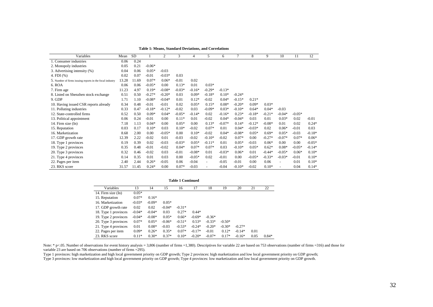| Variables                                                | Mean  | <b>SD</b> |          | 2        | 3        | 4        | 5.                       | 6        | 7        | 8        | 9        | 10                       | 11       | 12       |
|----------------------------------------------------------|-------|-----------|----------|----------|----------|----------|--------------------------|----------|----------|----------|----------|--------------------------|----------|----------|
| 1. Consumer industries                                   | 0.06  | 0.24      |          |          |          |          |                          |          |          |          |          |                          |          |          |
| 2. Monopoly industries                                   | 0.05  | 0.21      | $-0.06*$ |          |          |          |                          |          |          |          |          |                          |          |          |
| 3. Advertising intensity (%)                             | 0.04  | 0.06      | $0.05*$  | $-0.03$  |          |          |                          |          |          |          |          |                          |          |          |
| 4. FDI (%)                                               | 0.02  | 0.07      | $-0.01$  | $-0.03*$ | 0.03     |          |                          |          |          |          |          |                          |          |          |
| 5. Number of firms issuing reports in the focal industry | 13.28 | 11.69     | $0.07*$  | $0.06*$  | $-0.01$  | 0.02     |                          |          |          |          |          |                          |          |          |
| 6. ROA                                                   | 0.06  | 0.06      | $-0.05*$ | 0.00     | $0.13*$  | 0.01     | $0.03*$                  |          |          |          |          |                          |          |          |
| 7. Firm age                                              | 11.23 | 4.97      | $0.19*$  | $-0.08*$ | $-0.03*$ | $-0.16*$ | $-0.29*$                 | $-0.13*$ |          |          |          |                          |          |          |
| 8. Listed on Shenzhen stock exchange                     | 0.51  | 0.50      | $-0.27*$ | $-0.20*$ | 0.03     | $0.09*$  | $-0.18*$                 | $0.10*$  | $-0.24*$ |          |          |                          |          |          |
| 9. GDP                                                   | 1.71  | 1.10      | $-0.08*$ | $-0.04*$ | 0.01     | $0.12*$  | $-0.02$                  | $0.04*$  | $-0.15*$ | $0.21*$  |          |                          |          |          |
| 10. Having issued CSR reports already                    | 0.34  | 0.48      | $-0.01$  | $-0.01$  | 0.02     | $0.05*$  | $0.15*$                  | $0.08*$  | $-0.20*$ | $0.09*$  | $0.03*$  |                          |          |          |
| 11. Polluting industries                                 | 0.33  | 0.47      | $-0.18*$ | $-0.12*$ | $-0.02$  | 0.03     | $-0.09*$                 | $0.03*$  | $-0.10*$ | $0.64*$  | $0.04*$  | $-0.03$                  |          |          |
| 12. State-controlled firms                               | 0.52  | 0.50      | $0.09*$  | $0.04*$  | $-0.05*$ | $-0.14*$ | 0.02                     | $-0.16*$ | $0.23*$  | $-0.18*$ | $-0.21*$ | $-0.04*$                 | $-0.05*$ |          |
| 13. Political appointment                                | 0.06  | 0.24      | $-0.01$  | 0.00     | $0.11*$  | 0.01     | $-0.02$                  | $0.04*$  | $-0.04*$ | 0.03     | 0.01     | $0.03*$                  | 0.02     | $-0.01$  |
| 14. Firm size (In)                                       | 7.18  | 1.13      | $0.04*$  | 0.00     | $0.05*$  | 0.00     | $0.13*$                  | $-0.07*$ | $0.14*$  | $-0.12*$ | $-0.08*$ | 0.01                     | 0.02     | $0.24*$  |
| 15. Reputation                                           | 0.03  | 0.17      | $0.10*$  | 0.03     | $0.10*$  | $-0.02$  | $0.07*$                  | 0.01     | $0.04*$  | $-0.03*$ | 0.02     | $0.06*$                  | $-0.01$  | 0.03     |
| 16. Marketization                                        | 8.68  | 2.00      | 0.00     | $-0.05*$ | 0.00     | $0.10*$  | $-0.02$                  | $0.04*$  | $-0.08*$ | $0.05*$  | $0.69*$  | $0.05*$                  | $-0.03$  | $-0.18*$ |
| 17. GDP growth rate                                      | 12.39 | 2.22      | $-0.02$  | 0.01     | $-0.03$  | $-0.02$  | $-0.10*$                 | $-0.02$  | $0.07*$  | 0.00     | $-0.27*$ | $-0.07*$                 | $0.07*$  | $0.06*$  |
| 18. Type 1 provinces                                     | 0.19  | 0.39      | 0.02     | $-0.03$  | $-0.03*$ | $0.05*$  | $-0.11*$                 | 0.01     | $0.05*$  | $-0.03$  | $0.06*$  | 0.00                     | 0.00     | $-0.05*$ |
| 19. Type 2 provinces                                     | 0.35  | 0.48      | $-0.01$  | $-0.02$  | $0.04*$  | $0.07*$  | $0.07*$                  | 0.03     | $-0.10*$ | $0.05*$  | $0.62*$  | $0.08*$                  | $-0.05*$ | $-0.14*$ |
| 20. Type 3 provinces                                     | 0.32  | 0.46      | $-0.02$  | 0.03     | $-0.01$  | $-0.08*$ | 0.01                     | $-0.03*$ | $0.06*$  | 0.01     | $-0.44*$ | $-0.05*$                 | $0.06*$  | $0.10*$  |
| 21. Type 4 provinces                                     | 0.14  | 0.35      | 0.01     | 0.03     | 0.00     | $-0.05*$ | 0.02                     | $-0.01$  | 0.00     | $-0.05*$ | $-0.33*$ | $-0.03*$                 | $-0.01$  | $0.10*$  |
| 22. Pages per item                                       | 2.40  | 2.44      | $0.26*$  | $-0.05$  | 0.06     | $-0.04$  | $\overline{\phantom{a}}$ | $-0.05$  | $-0.01$  | 0.00     | 0.06     | $\overline{\phantom{a}}$ | 0.01     | $0.10*$  |
| 23. RKS score                                            | 31.57 | 11.45     | $0.24*$  | 0.00     | $0.07*$  | $-0.03$  |                          | $-0.04$  | $-0.10*$ | $-0.02$  | $0.10*$  |                          | 0.04     | $0.14*$  |

|  |  | Table 1: Means, Standard Deviations, and Correlations |  |
|--|--|-------------------------------------------------------|--|
|--|--|-------------------------------------------------------|--|

| <b>Table 1 Continued</b> |          |          |          |          |          |          |          |          |      |         |
|--------------------------|----------|----------|----------|----------|----------|----------|----------|----------|------|---------|
| Variables                | 13       | 14       | 15       | 16       | 17       | 18       | 19       | 20       | 21   | 22      |
| 14. Firm size (In)       | $0.05*$  |          |          |          |          |          |          |          |      |         |
| 15. Reputation           | $0.07*$  | $0.16*$  |          |          |          |          |          |          |      |         |
| 16. Marketization        | $-0.03*$ | $-0.09*$ | $0.05*$  |          |          |          |          |          |      |         |
| 17. GDP growth rate      | 0.02     | 0.02     | $-0.04*$ | $-0.31*$ |          |          |          |          |      |         |
| 18. Type 1 provinces     | $-0.04*$ | $-0.04*$ | 0.03     | $0.27*$  | $0.44*$  |          |          |          |      |         |
| 19. Type 2 provinces     | $-0.04*$ | $-0.08*$ | $0.05*$  | $0.66*$  | $-0.69*$ | $-0.36*$ |          |          |      |         |
| 20. Type 3 provinces     | $0.07*$  | $0.05*$  | $-0.06*$ | $-0.51*$ | $0.53*$  | $-0.33*$ | $-0.50*$ |          |      |         |
| 21. Type 4 provinces     | 0.01     | $0.08*$  | $-0.03$  | $-0.53*$ | $-0.24*$ | $-0.20*$ | $-0.30*$ | $-0.27*$ |      |         |
| 22. Pages per item       | $0.09*$  | $0.26*$  | $0.35*$  | $0.07*$  | $-0.17*$ | $-0.01$  | $0.12*$  | $-0.14*$ | 0.01 |         |
| 23. RKS score            | $0.11*$  | $0.30*$  | $0.37*$  | $0.10*$  | $-0.20*$ | $-0.07*$ | $0.17*$  | $-0.16*$ | 0.05 | $0.84*$ |

Note:  $*$  p<.05. Number of observations for event history analysis = 3,806 (number of firms =1,380). Descriptives for variable 22 are based on 753 observations (number of firms =316) and those for variable 23 are based on 706 observations (number of firms = 295).

Type 1 provinces: high marketization and high local government priority on GDP growth; Type 2 provinces: high marketization and low local government priority on GDP growth;

Type 3 provinces: low marketization and high local government priority on GDP growth; Type 4 provinces: low marketization and low local government priority on GDP growth.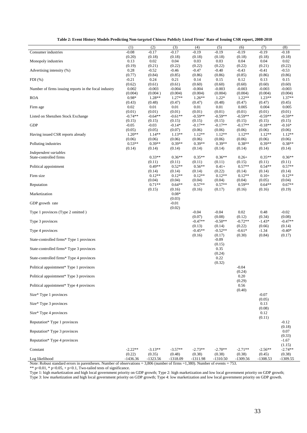| Table 2: Event History Models Predicting Non-targeted Chinese Publicly Listed Firms' Rate of Issuing CSR report, 2008-2010 |  |  |  |  |
|----------------------------------------------------------------------------------------------------------------------------|--|--|--|--|
|----------------------------------------------------------------------------------------------------------------------------|--|--|--|--|

| Consumer industries                                   | (1)<br>$-0.08$       | (2)<br>$-0.17$       | (3)<br>$-0.17$       | (4)<br>$-0.19$      | (5)<br>$-0.19$       | (6)<br>$-0.19$      | (7)<br>$-0.19$       | (8)<br>$-0.18$       |
|-------------------------------------------------------|----------------------|----------------------|----------------------|---------------------|----------------------|---------------------|----------------------|----------------------|
| Monopoly industries                                   | (0.20)<br>0.13       | (0.18)<br>0.02       | (0.18)<br>0.04       | (0.18)<br>0.03      | (0.18)<br>0.03       | (0.18)<br>0.04      | (0.18)<br>0.04       | (0.18)<br>0.02       |
| Advertising intensity (%)                             | (0.19)<br>0.28       | (0.21)<br>$-0.52$    | (0.22)<br>$-0.46$    | (0.22)<br>$-0.47$   | (0.22)<br>$-0.40$    | (0.22)<br>$-0.43$   | (0.21)<br>$-0.41$    | (0.22)<br>$-0.53$    |
|                                                       | (0.77)               | (0.84)               | (0.85)               | (0.86)              | (0.86)               | (0.85)              | (0.86)               | (0.86)               |
| $FDI$ (%)                                             | $-0.21$<br>(0.62)    | 0.24<br>(0.61)       | 0.21<br>(0.61)       | 0.14<br>(0.60)      | 0.15<br>(0.60)       | 0.12<br>(0.60)      | 0.13<br>(0.60)       | 0.15<br>(0.60)       |
| Number of firms issuing reports in the focal industry | 0.002<br>(0.004)     | $-0.003$<br>(0.004)  | $-0.004$<br>(0.004)  | $-0.004$<br>(0.004) | $-0.003$<br>(0.004)  | $-0.003$<br>(0.004) | $-0.003$<br>(0.004)  | $-0.003$<br>(0.004)  |
| <b>ROA</b>                                            | $0.98*$<br>(0.43)    | 1.28**<br>(0.48)     | $1.27**$<br>(0.47)   | $1.26**$<br>(0.47)  | $1.22*$<br>(0.48)    | $1.22**$<br>(0.47)  | $1.23**$<br>(0.47)   | $1.37**$<br>(0.45)   |
| Firm age                                              | 0.02<br>(0.01)       | 0.01<br>(0.01)       | 0.01<br>(0.01)       | 0.01<br>(0.01)      | 0.01<br>(0.01)       | 0.005<br>(0.01)     | 0.004<br>(0.01)      | 0.005<br>(0.01)      |
| Listed on Shenzhen Stock Exchange                     | $-0.74**$            | $-0.64**$            | $-0.61**$            | $-0.59**$           | $-0.59**$            | $-0.59**$           | $-0.59**$            | $-0.59**$            |
| <b>GDP</b>                                            | (0.15)<br>$-0.05$    | (0.15)<br>$-0.03$    | (0.15)<br>$-0.14*$   | (0.15)<br>$-0.17**$ | (0.15)<br>$-0.17**$  | (0.15)<br>$-0.17**$ | (0.15)<br>$-0.18**$  | (0.15)<br>$-0.16*$   |
| Having issued CSR reports already                     | (0.05)<br>$1.20**$   | (0.05)<br>$1.14**$   | (0.07)<br>$1.13**$   | (0.06)<br>$1.12**$  | (0.06)<br>$1.12**$   | (0.06)<br>$1.12**$  | (0.06)<br>$1.12**$   | (0.06)<br>$1.12**$   |
| Polluting industries                                  | (0.06)<br>$0.53**$   | (0.06)<br>$0.39**$   | (0.06)<br>$0.39**$   | (0.06)<br>$0.39**$  | (0.06)<br>$0.39**$   | (0.06)<br>$0.38**$  | (0.06)<br>$0.39**$   | (0.06)<br>$0.38**$   |
| Independent variables                                 | (0.14)               | (0.14)               | (0.14)               | (0.14)              | (0.14)               | (0.14)              | (0.14)               | (0.14)               |
| State-controlled firms                                |                      | $0.33**$             | $0.36**$             | $0.35**$            | $0.36**$             | $0.26+$             | $0.35**$             | $0.36**$             |
| Political appointment                                 |                      | (0.11)<br>$0.49**$   | (0.11)<br>$0.52**$   | (0.11)<br>$0.56**$  | (0.11)<br>$0.41+$    | (0.15)<br>$0.57**$  | (0.11)<br>$0.54**$   | (0.11)<br>$0.57**$   |
| Firm size                                             |                      | (0.14)<br>$0.12**$   | (0.14)<br>$0.12**$   | (0.14)<br>$0.12**$  | (0.22)<br>$0.12**$   | (0.14)<br>$0.12**$  | (0.14)<br>$0.10+$    | (0.14)<br>$0.12**$   |
| Reputation                                            |                      | (0.04)<br>$0.71**$   | (0.04)<br>$0.64**$   | (0.04)<br>$0.57**$  | (0.04)<br>$0.57**$   | (0.04)<br>$0.59**$  | (0.05)<br>$0.64**$   | (0.04)<br>$0.67**$   |
| Marketization                                         |                      | (0.15)               | (0.16)<br>$0.08*$    | (0.16)              | (0.17)               | (0.16)              | (0.16)               | (0.19)               |
|                                                       |                      |                      | (0.03)               |                     |                      |                     |                      |                      |
| GDP growth rate                                       |                      |                      | $-0.01$<br>(0.02)    |                     |                      |                     |                      |                      |
| Type 1 provinces (Type 2 omitted)                     |                      |                      |                      | $-0.04$<br>(0.07)   | $-0.04$<br>(0.08)    | 0.02<br>(0.12)      | 0.48<br>(0.34)       | $-0.02$<br>(0.08)    |
| Type 3 provinces                                      |                      |                      |                      | $-0.47**$<br>(0.13) | $-0.50**$<br>(0.14)  | $-0.72**$<br>(0.22) | $-1.43*$<br>(0.66)   | $-0.47**$<br>(0.14)  |
| Type 4 provinces                                      |                      |                      |                      | $-0.45**$<br>(0.16) | $-0.52**$<br>(0.17)  | $-0.61*$<br>(0.30)  | $-1.34$<br>(0.84)    | $-0.40*$<br>(0.17)   |
| State-controlled firms* Type 1 provinces              |                      |                      |                      |                     | $-0.09$<br>(0.15)    |                     |                      |                      |
| State-controlled firms* Type 3 provinces              |                      |                      |                      |                     | 0.35<br>(0.24)       |                     |                      |                      |
| State-controlled firms* Type 4 provinces              |                      |                      |                      |                     | 0.22<br>(0.32)       |                     |                      |                      |
| Political appointment* Type 1 provinces               |                      |                      |                      |                     |                      | $-0.04$<br>(0.24)   |                      |                      |
| Political appointment* Type 3 provinces               |                      |                      |                      |                     |                      | 0.20                |                      |                      |
| Political appointment* Type 4 provinces               |                      |                      |                      |                     |                      | (0.29)<br>0.56      |                      |                      |
| Size* Type 1 provinces                                |                      |                      |                      |                     |                      | (0.40)              | $-0.07$              |                      |
| Size* Type 3 provinces                                |                      |                      |                      |                     |                      |                     | (0.05)<br>0.13       |                      |
| Size* Type 4 provinces                                |                      |                      |                      |                     |                      |                     | (0.08)<br>0.12       |                      |
| Reputation* Type 1 provinces                          |                      |                      |                      |                     |                      |                     | (0.11)               | $-0.12$              |
| Reputation* Type 3 provinces                          |                      |                      |                      |                     |                      |                     |                      | (0.18)<br>0.07       |
| Reputation* Type 4 provinces                          |                      |                      |                      |                     |                      |                     |                      | (0.33)<br>$-1.67$    |
| Constant                                              | $-2.22**$            | $-3.13**$            | $-3.57**$            | $-2.73**$           | $-2.70**$            | $-2.71**$           | $-2.56**$            | (1.15)<br>$-2.74**$  |
| Log likelihood                                        | (0.22)<br>$-1436.36$ | (0.35)<br>$-1323.56$ | (0.48)<br>$-1318.09$ | (0.38)<br>-1311.98  | (0.38)<br>$-1310.50$ | (0.38)<br>-1309.56  | (0.45)<br>$-1308.53$ | (0.38)<br>$-1309.55$ |

Note: Robust standard errors in parentheses. Number of observations = 3,806 (number of firms =1,380). Number of events = 753.

\*\*  $p<0.01$ , \*  $p<0.05$ , +  $p<0.1$ , Two-tailed tests of significance.

Type 1: high marketization and high local government priority on GDP growth; Type 2: high marketization and low local government priority on GDP growth; Type 3: low marketization and high local government priority on GDP growth; Type 4: low marketization and low local government priority on GDP growth.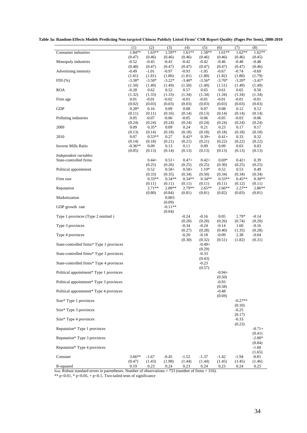| Table 3a: Random-Effects Models Predicting Non-targeted Chinese Publicly Listed Firms' CSR Report Quality (Pages Per Item), 2008-2010 |  |  |
|---------------------------------------------------------------------------------------------------------------------------------------|--|--|
|                                                                                                                                       |  |  |

| Consumer industries                      | (1)<br>1.84**       | (2)<br>$1.63**$    | (3)<br>1.59**       | (4)<br>$1.61**$    | (5)<br>1.58**      | (6)<br>$1.61**$     | (7)<br>$1.62**$     | (8)<br>$1.62**$    |
|------------------------------------------|---------------------|--------------------|---------------------|--------------------|--------------------|---------------------|---------------------|--------------------|
|                                          | (0.47)              | (0.46)             | (0.46)              | (0.46)             | (0.46)             | (0.46)              | (0.46)              | (0.45)             |
| Monopoly industries                      | $-0.52$<br>(0.48)   | $-0.45$<br>(0.47)  | $-0.43$<br>(0.47)   | $-0.42$<br>(0.47)  | $-0.42$<br>(0.47)  | $-0.46$<br>(0.47)   | $-0.48$<br>(0.47)   | $-0.48$<br>(0.46)  |
| Advertising intensity                    | $-0.49$             | $-1.01$            | $-0.97$             | $-0.93$            | $-1.05$            | $-0.67$             | $-0.74$             | $-0.69$            |
| $FDI$ $(\%)$                             | (1.81)<br>$-3.38*$  | (1.81)<br>$-3.50*$ | (1.80)<br>$-3.22*$  | (1.81)<br>$-3.40*$ | (1.80)<br>$-3.56*$ | (1.82)<br>$-3.70*$  | (1.80)<br>$-3.20*$  | (1.79)<br>$-3.41*$ |
|                                          | (1.50)              | (1.49)             | (1.49)              | (1.50)             | (1.49)             | (1.51)              | (1.49)              | (1.49)             |
| <b>ROA</b>                               | $-0.28$<br>(1.32)   | 0.62<br>(1.33)     | 0.52<br>(1.33)      | 0.57<br>(1.34)     | 0.65<br>(1.34)     | 0.61<br>(1.34)      | 0.65<br>(1.34)      | 0.50<br>(1.34)     |
| Firm age                                 | 0.01<br>(0.02)      | $-0.01$<br>(0.03)  | $-0.02$<br>(0.03)   | $-0.01$<br>(0.03)  | $-0.01$<br>(0.03)  | $-0.01$<br>(0.03)   | $-0.01$<br>(0.03)   | $-0.01$<br>(0.03)  |
| <b>GDP</b>                               | $0.28*$             | 0.16               | 0.09                | 0.08               | 0.07               | 0.08                | 0.12                | 0.12               |
| Polluting industries                     | (0.11)<br>0.05      | (0.11)<br>$-0.07$  | (0.16)<br>$-0.06$   | (0.14)<br>$-0.05$  | (0.13)<br>$-0.06$  | (0.14)<br>$-0.05$   | (0.14)<br>$-0.03$   | (0.14)<br>$-0.06$  |
|                                          | (0.24)              | (0.24)             | (0.24)              | (0.24)             | (0.24)             | (0.24)              | (0.24)              | (0.24)             |
| 2009                                     | 0.09<br>(0.13)      | $0.35*$<br>(0.14)  | 0.09<br>(0.18)      | 0.24<br>(0.18)     | 0.21<br>(0.18)     | 0.23<br>(0.18)      | 0.17<br>(0.18)      | 0.17<br>(0.18)     |
| 2010                                     | 0.07                | $0.53**$           | 0.27                | $0.42*$            | $0.39+$            | $0.41+$             | 0.33                | 0.32               |
| <b>Inverse Mills Ratio</b>               | (0.14)<br>$-0.36**$ | (0.18)<br>0.09     | (0.21)<br>0.13      | (0.21)<br>0.11     | (0.21)<br>0.09     | (0.22)<br>0.09      | (0.22)<br>0.03      | (0.22)<br>0.03     |
| Independent variables                    | (0.05)              | (0.13)             | (0.14)              | (0.13)             | (0.13)             | (0.13)              | (0.13)              | (0.13)             |
| State-controlled firms                   |                     | $0.44+$            | $0.51+$             | $0.47+$            | $0.42+$            | $0.69*$             | $0.42+$             | 0.39               |
| Political appointment                    |                     | (0.25)<br>0.52     | (0.26)<br>$0.58+$   | (0.25)<br>$0.58+$  | (0.25)<br>$1.19*$  | (0.30)<br>0.52      | (0.25)<br>0.53      | (0.25)<br>0.49     |
|                                          |                     | (0.33)             | (0.35)              | (0.34)             | (0.50)             | (0.34)              | (0.34)              | (0.34)             |
| Firm size                                |                     | $0.33**$<br>(0.11) | $0.34**$<br>(0.11)  | $0.34**$<br>(0.11) | $0.34**$<br>(0.11) | $0.33**$<br>(0.11)  | $0.45**$<br>(0.12)  | $0.30**$<br>(0.11) |
| Reputation                               |                     | $2.71**$<br>(0.80) | 2.89**<br>(0.84)    | $2.79**$<br>(0.81) | $2.65**$<br>(0.81) | $2.66**$            | $2.27**$<br>(0.83)  | $2.86**$<br>(0.81) |
| Marketization                            |                     |                    | 0.003<br>(0.09)     |                    |                    | (0.82)              |                     |                    |
| GDP growth rate                          |                     |                    | $-0.11**$<br>(0.04) |                    |                    |                     |                     |                    |
| Type 1 provinces (Type 2 omitted)        |                     |                    |                     | $-0.24$<br>(0.20)  | $-0.16$<br>(0.20)  | 0.05<br>(0.26)      | $1.79*$<br>(0.74)   | $-0.14$<br>(0.20)  |
| Type 3 provinces                         |                     |                    |                     | $-0.34$<br>(0.27)  | $-0.24$<br>(0.28)  | $-0.14$<br>(0.40)   | 1.60<br>(1.35)      | $-0.16$<br>(0.28)  |
| Type 4 provinces                         |                     |                    |                     | $-0.20$<br>(0.30)  | $-0.18$<br>(0.32)  | $-0.09$<br>(0.51)   | 2.38<br>(1.82)      | $-0.04$<br>(0.31)  |
| State-controlled firms* Type 1 provinces |                     |                    |                     |                    | $-0.49+$<br>(0.29) |                     |                     |                    |
| State-controlled firms* Type 3 provinces |                     |                    |                     |                    | $-0.33$<br>(0.43)  |                     |                     |                    |
| State-controlled firms* Type 4 provinces |                     |                    |                     |                    | $-0.23$<br>(0.57)  |                     |                     |                    |
| Political appointment* Type 1 provinces  |                     |                    |                     |                    |                    | $-0.94 +$<br>(0.50) |                     |                    |
| Political appointment* Type 3 provinces  |                     |                    |                     |                    |                    | $-0.93$<br>(0.58)   |                     |                    |
| Political appointment* Type 4 provinces  |                     |                    |                     |                    |                    | $-0.48$<br>(0.69)   |                     |                    |
| Size* Type 1 provinces                   |                     |                    |                     |                    |                    |                     | $-0.27**$<br>(0.10) |                    |
| Size* Type 3 provinces                   |                     |                    |                     |                    |                    |                     | $-0.25$<br>(0.17)   |                    |
| Size* Type 4 provinces                   |                     |                    |                     |                    |                    |                     | $-0.33$<br>(0.23)   |                    |
| Reputation* Type 1 provinces             |                     |                    |                     |                    |                    |                     |                     | $-0.71+$<br>(0.41) |
| Reputation* Type 3 provinces             |                     |                    |                     |                    |                    |                     |                     | $-2.00*$<br>(0.84) |
| Reputation* Type 4 provinces             |                     |                    |                     |                    |                    |                     |                     | $-1.60$<br>(1.65)  |
| Constant                                 | $3.66***$<br>(0.47) | $-1.67$<br>(1.43)  | $-0.45$<br>(1.98)   | $-1.52$<br>(1.44)  | $-1.37$<br>(1.44)  | $-1.42$<br>(1.45)   | $-1.94$<br>(1.45)   | $-0.81$<br>(1.46)  |
| R-squared                                | 0.19                | 0.23               | 0.24                | 0.23               | 0.24               | 0.23                | 0.24                | 0.25               |

Note: Robust standard errors in parentheses. Number of observations = 753 (number of firms = 316).

\*\* p<0.01, \* p<0.05, + p<0.1, Two-tailed tests of significance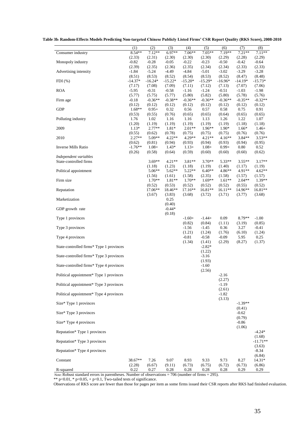**Table 3b: Random-Effects Models Predicting Non-targeted Chinese Publicly Listed Firms' CSR Report Quality (RKS Score), 2008-2010**

|                                          | (1)                 | (2)                 | (3)                 | (4)                         | (5)                         | (6)                      | (7)                         | (8)                         |
|------------------------------------------|---------------------|---------------------|---------------------|-----------------------------|-----------------------------|--------------------------|-----------------------------|-----------------------------|
| Consumer industry                        | $8.54**$<br>(2.33)  | $7.12**$<br>(2.31)  | $6.97**$<br>(2.30)  | $7.06**$<br>(2.30)          | $7.05**$<br>(2.30)          | $7.19**$<br>(2.29)       | $7.21**$<br>(2.28)          | $7.11**$                    |
| Monopoly industry                        | $-0.82$             | $-0.28$             | $-0.05$             | $-0.22$                     | $-0.23$                     | $-0.50$                  | $-0.42$                     | (2.29)<br>$-0.64$           |
| Advertising intensity                    | (2.39)<br>$-1.84$   | (2.35)<br>$-5.24$   | (2.36)<br>-4.49     | (2.35)<br>$-4.84$           | (2.34)<br>$-5.01$           | (2.34)<br>$-3.02$        | (2.33)<br>$-3.29$           | (2.33)<br>$-3.28$           |
| $FDI$ $(\%)$                             | (8.51)<br>$-14.37*$ | (8.53)<br>$-16.24*$ | (8.52)<br>$-15.22*$ | (8.54)<br>$-15.20*$         | (8.53)<br>$-15.29*$         | (8.52)<br>$-16.96*$      | (8.47)<br>$-14.19*$         | (8.48)<br>$-15.73*$         |
|                                          | (7.17)              | (7.08)              | (7.09)              | (7.11)                      | (7.12)                      | (7.13)                   | (7.07)                      | (7.06)                      |
| <b>ROA</b>                               | $-5.95$<br>(5.77)   | $-0.31$<br>(5.75)   | $-0.58$<br>(5.77)   | $-1.16$<br>(5.80)           | $-1.24$<br>(5.82)           | $-0.51$<br>(5.80)        | $-1.03$<br>(5.78)           | $-1.98$<br>(5.76)           |
| Firm age                                 | $-0.18$<br>(0.12)   | $-0.36**$<br>(0.12) | $-0.38**$<br>(0.12) | $-0.36**$<br>(0.12)         | $-0.36**$<br>(0.12)         | $-0.36**$<br>(0.12)      | $-0.35**$<br>(0.12)         | $-0.32**$<br>(0.12)         |
| <b>GDP</b>                               | $1.68**$            | $0.95+$             | 0.32                | 0.56                        | 0.57                        | 0.58                     | 0.75                        | 0.91                        |
| Polluting industry                       | (0.53)<br>1.76      | (0.55)<br>1.02      | (0.76)<br>1.16      | (0.65)<br>1.16              | (0.65)<br>1.13              | (0.64)<br>1.26           | (0.65)<br>1.22              | (0.65)<br>1.07              |
| 2009                                     | (1.20)<br>$1.13*$   | (1.19)<br>$2.77**$  | (1.19)<br>1.81*     | (1.19)<br>$2.01**$          | (1.19)<br>$1.96**$          | (1.19)<br>1.90*          | (1.18)<br>1.66*             | (1.18)<br>$1.46+$           |
|                                          | (0.55)              | (0.62)              | (0.78)              | (0.75)                      | (0.75)                      | (0.75)                   | (0.76)                      | (0.76)                      |
| 2010                                     | $2.27**$<br>(0.62)  | 5.09**<br>(0.81)    | $4.22**$<br>(0.94)  | 4.29**<br>(0.93)            | $4.21**$<br>(0.94)          | $4.16**$<br>(0.93)       | $3.84**$<br>(0.94)          | $3.53**$<br>(0.95)          |
| <b>Inverse Mills Ratio</b>               | $-1.76**$<br>(0.26) | $1.08+$<br>(0.58)   | $1.43*$<br>(0.64)   | $1.13+$<br>(0.59)           | $1.08+$<br>(0.60)           | $0.99+$<br>(0.60)        | 0.80<br>(0.60)              | 0.52<br>(0.62)              |
| Independent variables                    |                     |                     |                     |                             |                             |                          |                             |                             |
| State-controlled firms                   |                     | $3.69**$<br>(1.18)  | $4.21**$<br>(1.23)  | $3.81**$<br>(1.18)          | $3.70**$<br>(1.19)          | $5.33**$<br>(1.40)       | $3.55***$<br>(1.17)         | $3.17**$<br>(1.19)          |
| Political appointment                    |                     | $5.06**$<br>(1.56)  | $5.62**$<br>(1.61)  | 5.22**<br>(1.58)            | $6.40**$<br>(2.35)          | 4.86**<br>(1.58)         | 4.91**<br>(1.57)            | $4.62**$<br>(1.57)          |
| Firm size                                |                     | $1.70**$            | 1.81**              | $1.70**$                    | $1.69**$                    | $1.61**$                 | $2.04**$                    | $1.39**$                    |
| Reputation                               |                     | (0.52)<br>17.06**   | (0.53)<br>18.46**   | (0.52)<br>17.16**           | (0.52)<br>16.81**           | (0.52)<br>16.11**        | (0.55)<br>14.96**           | (0.52)<br>16.81**           |
| Marketization                            |                     | (3.67)              | (3.83)<br>0.25      | (3.68)                      | (3.72)                      | (3.71)                   | (3.77)                      | (3.68)                      |
| GDP growth rate                          |                     |                     | (0.40)<br>$-0.44*$  |                             |                             |                          |                             |                             |
| Type 1 provinces                         |                     |                     | (0.18)              | $-1.60+$                    | $-1.44+$                    | 0.09                     | 8.79**                      | $-1.00$                     |
| Type 3 provinces                         |                     |                     |                     | (0.82)<br>$-1.56$<br>(1.21) | (0.84)<br>$-1.45$<br>(1.24) | (1.11)<br>0.36<br>(1.76) | (3.19)<br>3.27<br>(6.10)    | (0.85)<br>$-0.41$<br>(1.24) |
| Type 4 provinces                         |                     |                     |                     | $-0.81$<br>(1.34)           | $-0.58$<br>(1.41)           | $-0.09$<br>(2.29)        | 5.95<br>(8.27)              | 0.25<br>(1.37)              |
| State-controlled firms* Type 1 provinces |                     |                     |                     |                             | $-2.82*$<br>(1.22)          |                          |                             |                             |
| State-controlled firms* Type 3 provinces |                     |                     |                     |                             | $-3.16$<br>(1.93)           |                          |                             |                             |
| State-controlled firms* Type 4 provinces |                     |                     |                     |                             | $-1.60$<br>(2.56)           |                          |                             |                             |
| Political appointment* Type 1 provinces  |                     |                     |                     |                             |                             | $-2.16$<br>(2.27)        |                             |                             |
| Political appointment* Type 3 provinces  |                     |                     |                     |                             |                             | $-1.19$<br>(2.61)        |                             |                             |
| Political appointment* Type 4 provinces  |                     |                     |                     |                             |                             | $-1.82$<br>(3.13)        |                             |                             |
| Size* Type 1 provinces                   |                     |                     |                     |                             |                             |                          | $-1.39**$                   |                             |
| Size* Type 3 provinces                   |                     |                     |                     |                             |                             |                          | (0.41)<br>$-0.62$           |                             |
| Size* Type 4 provinces                   |                     |                     |                     |                             |                             |                          | (0.79)<br>$-0.86$<br>(1.06) |                             |
| Reputation* Type 1 provinces             |                     |                     |                     |                             |                             |                          |                             | $-4.24*$<br>(1.68)          |
| Reputation* Type 3 provinces             |                     |                     |                     |                             |                             |                          |                             | $-11.71**$<br>(3.63)        |
| Reputation* Type 4 provinces             |                     |                     |                     |                             |                             |                          |                             | $-8.34$<br>(6.84)           |
| Constant                                 | 38.67**<br>(2.28)   | 7.26<br>(6.67)      | 9.07<br>(9.11)      | 8.93<br>(6.73)              | 9.33<br>(6.75)              | 9.73<br>(6.72)           | 8.27<br>(6.73)              | 14.31*<br>(6.86)            |
| R-squared                                | 0.22                | 0.27                | 0.28                | 0.28                        | 0.28                        | 0.28                     | 0.29                        | 0.29                        |

Note: Robust standard errors in parentheses. Number of observations = 706 (number of firms = 295).

\*\*  $p<0.01$ , \*  $p<0.05$ , +  $p<0.1$ , Two-tailed tests of significance.

Observations of RKS score are fewer than those for pages per item as some firms issued their CSR reports after RKS had finished evaluation.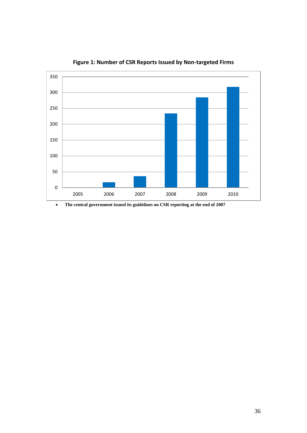

**Figure 1: Number of CSR Reports Issued by Non-targeted Firms**

**The central government issued its guidelines on CSR reporting at the end of 2007**